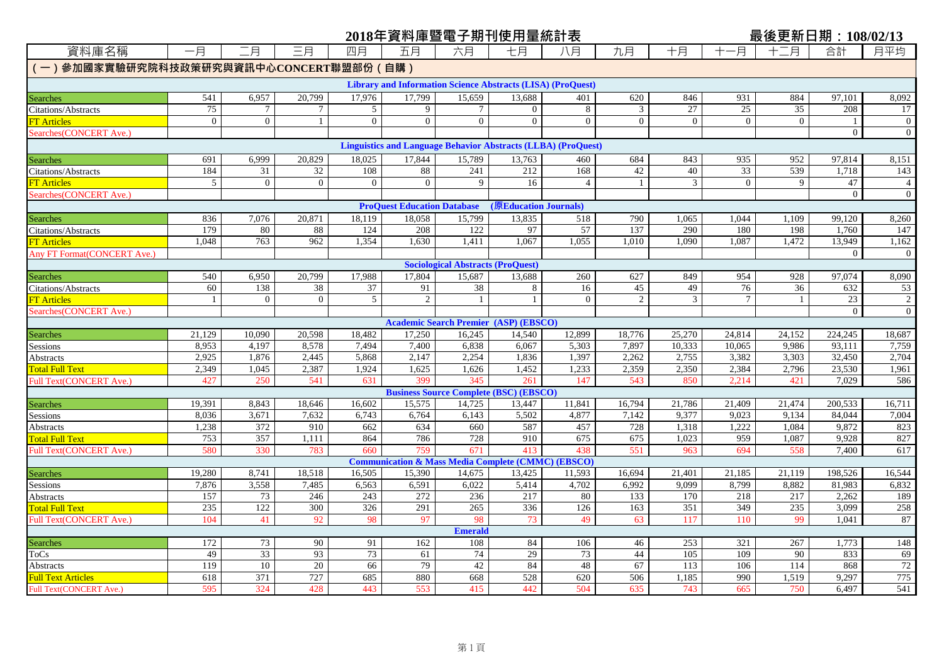## **2018年資料庫暨電子期刊使用量統計表 最後更新日期:108/02/13**

| 資料庫名稱                                  | 一月              | 二月              | 三月              | 四月              | 五月                                                                   | 六月                                            | 七月                    | 八月              | 九月              | 十月               | 十一月              | 十二月             | 合計                | 月平均              |
|----------------------------------------|-----------------|-----------------|-----------------|-----------------|----------------------------------------------------------------------|-----------------------------------------------|-----------------------|-----------------|-----------------|------------------|------------------|-----------------|-------------------|------------------|
| (一)參加國家實驗研究院科技政策研究與資訊中心CONCERT聯盟部份(自購) |                 |                 |                 |                 |                                                                      |                                               |                       |                 |                 |                  |                  |                 |                   |                  |
|                                        |                 |                 |                 |                 | <b>Library and Information Science Abstracts (LISA) (ProQuest)</b>   |                                               |                       |                 |                 |                  |                  |                 |                   |                  |
| <b>Searches</b>                        | 541             | 6,957           | 20.799          | 17.976          | 17.799                                                               | 15,659                                        | 13,688                | 401             | 620             | 846              | 931              | 884             | 97.101            | 8,092            |
| Citations/Abstracts                    | 75              | $\overline{7}$  |                 | $\sqrt{5}$      | 9                                                                    |                                               | $\Omega$              | $\,8\,$         | 3               | 27               | $\overline{25}$  | $\overline{35}$ | 208               | 17               |
| T Articles                             | $\mathbf{0}$    | $\mathbf{0}$    | -1              | $\overline{0}$  | $\mathbf{0}$                                                         | $\overline{0}$                                | $\Omega$              | $\overline{0}$  | $\mathbf{0}$    | $\mathbf{0}$     | $\mathbf{0}$     | $\overline{0}$  | -1                | $\overline{0}$   |
| Searches (CONCERT Ave.)                |                 |                 |                 |                 |                                                                      |                                               |                       |                 |                 |                  |                  |                 | $\mathbf{0}$      | $\boldsymbol{0}$ |
|                                        |                 |                 |                 |                 | <b>Linguistics and Language Behavior Abstracts (LLBA) (ProQuest)</b> |                                               |                       |                 |                 |                  |                  |                 |                   |                  |
| <b>Searches</b>                        | 691             | 6,999           | 20,829          | 18,025          | 17,844                                                               | 15,789                                        | 13,763                | 460             | 684             | 843              | 935              | 952             | 97,814            | 8,151            |
| Citations/Abstracts                    | 184             | 31              | $\overline{32}$ | 108             | 88                                                                   | 241                                           | 212                   | 168             | 42              | 40               | $\overline{33}$  | 539             | 1,718             | 143              |
| <b>FT</b> Articles                     | 5               | $\mathbf{0}$    | $\theta$        | $\theta$        | $\Omega$                                                             | $\mathbf{Q}$                                  | 16                    | $\overline{4}$  |                 | 3                | $\theta$         | 9               | 47                | $\overline{4}$   |
| Searches (CONCERT Ave.)                |                 |                 |                 |                 |                                                                      |                                               |                       |                 |                 |                  |                  |                 | $\mathbf{0}$      | $\overline{0}$   |
|                                        |                 |                 |                 |                 | <b>ProQuest Education Database</b>                                   |                                               | (原Education Journals) |                 |                 |                  |                  |                 |                   |                  |
| <b>Searches</b>                        | 836             | 7,076           | 20,871          | 18,119          | 18,058                                                               | 15,799                                        | 13,835                | 518             | 790             | 1,065            | 1,044            | 1,109           | 99,120            | 8,260            |
| Citations/Abstracts                    | 179             | 80              | 88              | 124             | 208                                                                  | 122                                           | 97                    | 57              | 137             | 290              | 180              | 198             | 1,760             | 147              |
| <b>TT Articles</b>                     | 1,048           | 763             | 962             | 1,354           | 1,630                                                                | 1,411                                         | 1.067                 | 1,055           | 1,010           | 1,090            | 1,087            | 1,472           | 13,949            | 1,162            |
| <b>Any FT Format (CONCERT Ave.)</b>    |                 |                 |                 |                 |                                                                      |                                               |                       |                 |                 |                  |                  |                 | $\theta$          | $\mathbf{0}$     |
|                                        |                 |                 |                 |                 |                                                                      | <b>Sociological Abstracts (ProQuest)</b>      |                       |                 |                 |                  |                  |                 |                   |                  |
| Searches                               | 540             | 6,950           | 20,799          | 17,988          | 17,804                                                               | 15,687                                        | 13,688                | 260             | 627             | 849              | 954              | 928             | 97,074            | 8,090            |
| Citations/Abstracts                    | 60              | 138             | 38              | 37              | 91                                                                   | 38                                            | 8                     | 16              | 45              | 49               | 76               | 36              | 632               | 53               |
| <b>FT</b> Articles                     |                 | $\mathbf{0}$    | $\mathbf{0}$    | 5 <sup>5</sup>  | 2                                                                    |                                               |                       | $\mathbf{0}$    | $\mathcal{D}$   | $\overline{3}$   | $\overline{7}$   | $\mathbf{1}$    | 23                | $\overline{2}$   |
| Searches (CONCERT Ave.)                |                 |                 |                 |                 |                                                                      |                                               |                       |                 |                 |                  |                  |                 | $\mathbf{0}$      | $\overline{0}$   |
|                                        |                 |                 |                 |                 |                                                                      | <b>Academic Search Premier (ASP) (EBSCO)</b>  |                       |                 |                 |                  |                  |                 |                   |                  |
| Searches                               | 21,129<br>8,953 | 10,090<br>4,197 | 20,598<br>8,578 | 18,482<br>7,494 | 17,250<br>7,400                                                      | 16,245<br>6,838                               | 14,540<br>6,067       | 12,899<br>5,303 | 18,776<br>7,897 | 25,270<br>10,333 | 24,814<br>10,065 | 24,152<br>9,986 | 224,245<br>93,111 | 18,687<br>7,759  |
| Sessions                               | 2,925           | 1,876           | 2,445           |                 | 2,147                                                                | 2,254                                         |                       | 1,397           | 2,262           | 2,755            | 3,382            |                 | 32,450            | 2,704            |
| Abstracts<br><b>Total Full Text</b>    | 2,349           | 1,045           | 2,387           | 5,868<br>1,924  | 1,625                                                                | 1,626                                         | 1,836<br>1,452        | 1,233           | 2,359           | 2,350            | 2,384            | 3,303<br>2,796  | 23,530            | 1,961            |
| Full Text(CONCERT Ave.)                | 427             | 250             | 541             | 631             | 399                                                                  | 345                                           | 261                   | 147             | 543             | 850              | 2,214            | 421             | 7.029             | 586              |
|                                        |                 |                 |                 |                 |                                                                      | <b>Business Source Complete (BSC) (EBSCO)</b> |                       |                 |                 |                  |                  |                 |                   |                  |
| Searches                               | 19,391          | 8,843           | 18,646          | 16,602          | 15,575                                                               | 14,725                                        | 13,447                | 11,841          | 16,794          | 21,786           | 21,409           | 21,474          | 200,533           | 16,711           |
| Sessions                               | 8,036           | 3,671           | 7,632           | 6,743           | 6,764                                                                | 6,143                                         | 5,502                 | 4,877           | 7,142           | 9,377            | 9,023            | 9,134           | 84,044            | 7,004            |
| Abstracts                              | 1,238           | 372             | 910             | 662             | 634                                                                  | 660                                           | 587                   | 457             | 728             | 1,318            | 1,222            | 1,084           | 9,872             | 823              |
| <b>Total Full Text</b>                 | 753             | 357             | 1,111           | 864             | 786                                                                  | 728                                           | 910                   | 675             | 675             | 1,023            | 959              | 1,087           | 9.928             | 827              |
| Full Text(CONCERT Ave.)                | 580             | 330             | 783             | 660             | 759                                                                  | 671                                           | 413                   | 438             | 551             | 963              | 694              | 558             | 7,400             | 617              |
|                                        |                 |                 |                 |                 | <b>Communication &amp; Mass Media Complete (CMMC) (EBSCO)</b>        |                                               |                       |                 |                 |                  |                  |                 |                   |                  |
| <b>Searches</b>                        | 19,280          | 8,741           | 18,518          | 16,505          | 15,390                                                               | 14,675                                        | 13,425                | 11,593          | 16,694          | 21,401           | 21,185           | 21,119          | 198,526           | 16,544           |
| Sessions                               | 7,876           | 3,558           | 7,485           | 6,563           | 6,591                                                                | 6,022                                         | 5,414                 | 4,702           | 6,992           | 9,099            | 8,799            | 8,882           | 81,983            | 6,832            |
| Abstracts                              | 157             | 73              | 246             | 243             | 272                                                                  | 236                                           | 217                   | 80              | 133             | 170              | 218              | 217             | 2.262             | 189              |
| <b>Total Full Text</b>                 | 235             | 122             | 300             | 326             | 291                                                                  | 265                                           | 336                   | 126             | 163             | 351              | 349              | 235             | 3,099             | 258              |
| Full Text(CONCERT Ave.)                | 104             | 41              | 92              | 98              | 97                                                                   | 98                                            | 73                    | 49              | 63              | 117              | 110              | 99              | 1.041             | 87               |
|                                        |                 |                 |                 |                 |                                                                      | <b>Emerald</b>                                |                       |                 |                 |                  |                  |                 |                   |                  |
| <b>Searches</b>                        | 172             | 73              | 90              | 91              | 162                                                                  | 108                                           | 84                    | 106             | 46              | 253              | 321              | 267             | 1,773             | 148              |
| ToCs                                   | 49              | 33              | 93              | 73              | 61                                                                   | 74                                            | 29                    | 73              | 44              | 105              | 109              | 90              | 833               | 69               |
| Abstracts                              | 119             | $10\,$          | 20              | 66              | 79                                                                   | 42                                            | 84                    | 48              | 67              | 113              | 106              | 114             | 868               | 72               |
| Full Text Articles                     | 618             | 371             | 727             | 685             | 880                                                                  | 668                                           | 528                   | 620             | 506             | 1,185            | 990              | 1,519           | 9,297             | 775              |
| Full Text(CONCERT Ave.)                | 595             | 324             | 428             | 443             | 553                                                                  | 415                                           | 442                   | 504             | 635             | 743              | 665              | 750             | 6,497             | 541              |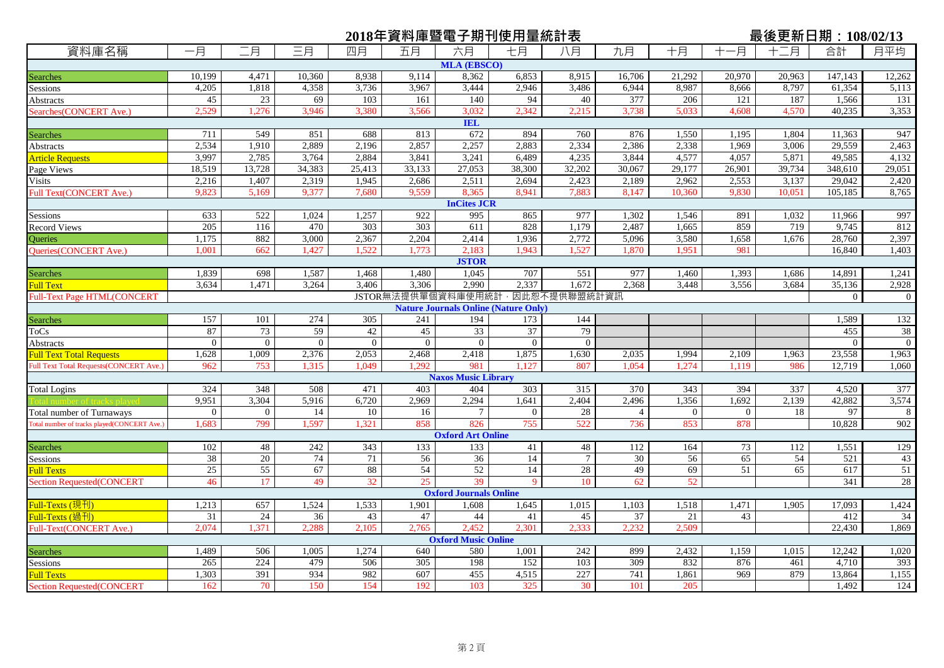|                                                |                |                |                |                |          |                               | 2018年資料庫暨電子期刊使用量統計表                         |                 |                |                |                | 最後更新日期: 108/02/13 |                |                  |
|------------------------------------------------|----------------|----------------|----------------|----------------|----------|-------------------------------|---------------------------------------------|-----------------|----------------|----------------|----------------|-------------------|----------------|------------------|
| 資料庫名稱                                          | 一月             | 二月             | 三月             | 四月             | 五月       | 六月                            | 七月                                          | 八月              | 九月             | 十月             | 一月<br>$^{+}$   | 十二月               | 合計             | 月平均              |
|                                                |                |                |                |                |          | <b>MLA (EBSCO)</b>            |                                             |                 |                |                |                |                   |                |                  |
| Searches                                       | 10,199         | 4.471          | 10.360         | 8,938          | 9.114    | 8,362                         | 6,853                                       | 8.915           | 16,706         | 21,292         | 20,970         | 20,963            | 147.143        | 12,262           |
| Sessions                                       | 4,205          | 1,818          | 4,358          | 3,736          | 3,967    | 3,444                         | 2,946                                       | 3,486           | 6,944          | 8,987          | 8,666          | 8,797             | 61,354         | 5,113            |
| <b>Abstracts</b>                               | 45             | 23             | 69             | 103            | 161      | 140                           | 94                                          | 40              | 377            | 206            | 121            | 187               | 1,566          | 131              |
| Searches (CONCERT Ave.)                        | 2,529          | 1,276          | 3,946          | 3,380          | 3,566    | 3,032                         | 2,342                                       | 2,215           | 3,738          | 5,033          | 4,608          | 4,570             | 40,235         | 3,353            |
|                                                |                |                |                |                |          | IEL                           |                                             |                 |                |                |                |                   |                |                  |
| <b>Searches</b>                                | 711            | 549            | 851            | 688            | 813      | 672                           | 894                                         | 760             | 876            | 1,550          | 1,195          | 1,804             | 11,363         | 947              |
| Abstracts                                      | 2,534          | 1,910          | 2,889          | 2,196          | 2,857    | 2,257                         | 2,883                                       | 2,334           | 2,386          | 2,338          | 1.969          | 3,006             | 29.559         | 2,463            |
| <b>Article Requests</b>                        | 3,997          | 2,785          | 3,764          | 2,884          | 3,841    | 3,241                         | 6,489                                       | 4,235           | 3,844          | 4,577          | 4,057          | 5,871             | 49,585         | 4,132            |
| Page Views                                     | 18,519         | 13,728         | 34,383         | 25,413         | 33,133   | 27,053                        | 38,300                                      | 32,202          | 30,067         | 29,177         | 26,901         | 39,734            | 348,610        | 29,051           |
| <b>Visits</b>                                  | 2,216          | 1,407          | 2,319          | 1,945          | 2,686    | 2,511                         | 2,694                                       | 2,423           | 2,189          | 2,962          | 2,553          | 3,137             | 29,042         | 2,420            |
| Full Text(CONCERT Ave.)                        | 9,823          | 5,169          | 9,377          | 7,680          | 9,559    | 8,365                         | 8,941                                       | 7,883           | 8,147          | 10,360         | 9,830          | 10,051            | 105,185        | 8,765            |
|                                                |                |                |                |                |          | <b>InCites JCR</b>            |                                             |                 |                |                |                |                   |                |                  |
| Sessions                                       | 633            | 522            | 1,024          | 1,257          | 922      | 995                           | 865                                         | 977             | 1,302          | 1,546          | 891            | 1,032             | 11,966         | 997              |
| <b>Record Views</b>                            | 205            | 116            | 470            | 303            | 303      | 611                           | 828                                         | 1,179           | 2,487          | 1.665          | 859            | 719               | 9.745          | 812              |
| <b>Oueries</b>                                 | 1.175          | 882            | 3.000          | 2,367          | 2.204    | 2,414                         | 1,936                                       | 2,772           | 5,096          | 3,580          | 1,658          | 1,676             | 28,760         | 2,397            |
| <b>Oueries(CONCERT Ave.)</b>                   | 1.001          | 662            | 1,427          | 1,522          | 1,773    | 2,183                         | 1,943                                       | 1,527           | 1,870          | 1,951          | 981            |                   | 16,840         | 1,403            |
|                                                |                |                |                |                |          | <b>JSTOR</b>                  |                                             |                 |                |                |                |                   |                |                  |
| <b>Searches</b>                                | 1,839          | 698            | 1,587          | 1,468          | 1,480    | 1,045                         | 707                                         | 551             | 977            | 1,460          | 1,393          | 1,686             | 14,891         | 1,241            |
| <b>Full Text</b>                               | 3,634          | 1,471          | 3,264          | 3,406          | 3,306    | 2,990                         | 2,337                                       | 1,672           | 2,368          | 3,448          | 3,556          | 3,684             | 35,136         | 2,928            |
| <b>Full-Text Page HTML(CONCERT</b>             |                |                |                |                |          | JSTOR無法提供單個資料庫使用統計            |                                             | · 因此恕不提供聯盟統計資訊  |                |                |                |                   | $\overline{0}$ | $\boldsymbol{0}$ |
|                                                |                |                |                |                |          |                               | <b>Nature Journals Online (Nature Only)</b> |                 |                |                |                |                   |                |                  |
| <b>Searches</b>                                | 157            | 101            | 274            | 305            | 241      | 194                           | 173                                         | 144             |                |                |                |                   | 1,589          | 132              |
| ToCs                                           | 87             | 73             | 59             | 42             | 45       | 33                            | 37                                          | 79              |                |                |                |                   | 455            | 38               |
| Abstracts                                      | $\theta$       | $\overline{0}$ | $\overline{0}$ | $\overline{0}$ | $\theta$ | $\overline{0}$                | $\overline{0}$                              | $\overline{0}$  |                |                |                |                   | $\Omega$       | $\overline{0}$   |
| <b>Full Text Total Requests</b>                | 1,628          | 1,009          | 2,376          | 2,053          | 2,468    | 2,418                         | 1,875                                       | 1,630           | 2,035          | 1,994          | 2,109          | 1,963             | 23,558         | 1,963            |
| <b>Full Text Total Requests (CONCERT Ave.)</b> | 962            | 753            | 1,315          | 1,049          | 1.292    | 981                           | 1,127                                       | 807             | 1,054          | 1,274          | 1,119          | 986               | 12,719         | 1,060            |
|                                                |                |                |                |                |          | <b>Naxos Music Library</b>    |                                             |                 |                |                |                |                   |                |                  |
| Total Logins                                   | 324            | 348            | 508            | 471            | 403      | 404                           | 303                                         | 315             | 370            | 343            | 394            | 337               | 4,520          | 377              |
|                                                | 9,951          | 3,304          | 5,916          | 6,720          | 2,969    | 2,294                         | 1,641                                       | 2,404           | 2,496          | 1,356          | 1,692          | 2,139             | 42,882         | 3,574            |
| Total number of Turnaways                      | $\overline{0}$ | $\overline{0}$ | 14             | 10             | 16       | $\tau$                        | $\overline{0}$                              | 28              | $\overline{4}$ | $\overline{0}$ | $\overline{0}$ | 18                | 97             | 8                |
| Total number of tracks played(CONCERT Ave.)    | 1.683          | 799            | 1.597          | 1.321          | 858      | 826                           | 755                                         | 522             | 736            | 853            | 878            |                   | 10,828         | 902              |
|                                                |                |                |                |                |          | <b>Oxford Art Online</b>      |                                             |                 |                |                |                |                   |                |                  |
| Searches                                       | 102            | 48             | 242            | 343            | 133      | 133                           | 41                                          | 48              | 112            | 164            | 73             | 112               | 1,551          | 129              |
| Sessions                                       | 38             | 20             | 74             | 71             | 56       | 36                            | 14                                          | $7\phantom{.0}$ | 30             | 56             | 65             | 54                | 521            | 43               |
| <b>Full Texts</b>                              | 25             | 55             | 67             | 88             | 54       | 52                            | 14                                          | 28              | 49             | 69             | 51             | 65                | 617            | 51               |
| <b>Section Requested(CONCERT</b>               | 46             | 17             | 49             | 32             | 25       | 39                            | 9                                           | 10              | 62             | 52             |                |                   | 341            | 28               |
|                                                |                |                |                |                |          | <b>Oxford Journals Online</b> |                                             |                 |                |                |                |                   |                |                  |
| Full-Texts (現刊)                                | 1,213          | 657            | 1,524          | 1,533          | 1,901    | 1.608                         | 1,645                                       | 1,015           | 1,103          | 1,518          | 1,471          | 1,905             | 17,093         | 1,424            |
| Full-Texts (過刊)                                | 31             | 24             | 36             | 43             | 47       | 44                            | 41                                          | 45              | 37             | 21             | 43             |                   | 412            | 34               |
| Full-Text(CONCERT Ave.)                        | 2,074          | 1,371          | 2,288          | 2,105          | 2,765    | 2,452                         | 2,301                                       | 2,333           | 2,232          | 2,509          |                |                   | 22,430         | 1,869            |
|                                                |                |                |                |                |          | <b>Oxford Music Online</b>    |                                             |                 |                |                |                |                   |                |                  |
| Searches                                       | 1,489          | 506            | 1,005          | 1,274          | 640      | 580                           | 1,001                                       | 242             | 899            | 2,432          | 1,159          | 1,015             | 12,242         | 1,020            |
| Sessions                                       | 265            | 224            | 479            | 506            | 305      | 198                           | 152                                         | 103             | 309            | 832            | 876            | 461               | 4,710          | 393              |
| <b>Full Texts</b>                              | 1,303          | 391            | 934            | 982            | 607      | 455                           | 4,515                                       | 227             | 741            | 1,861          | 969            | 879               | 13,864         | 1,155            |
| <b>Section Requested(CONCERT</b>               | 162            | 70             | 150            | 154            | 192      | 103                           | 325                                         | 30              | 101            | 205            |                |                   | 1.492          | 124              |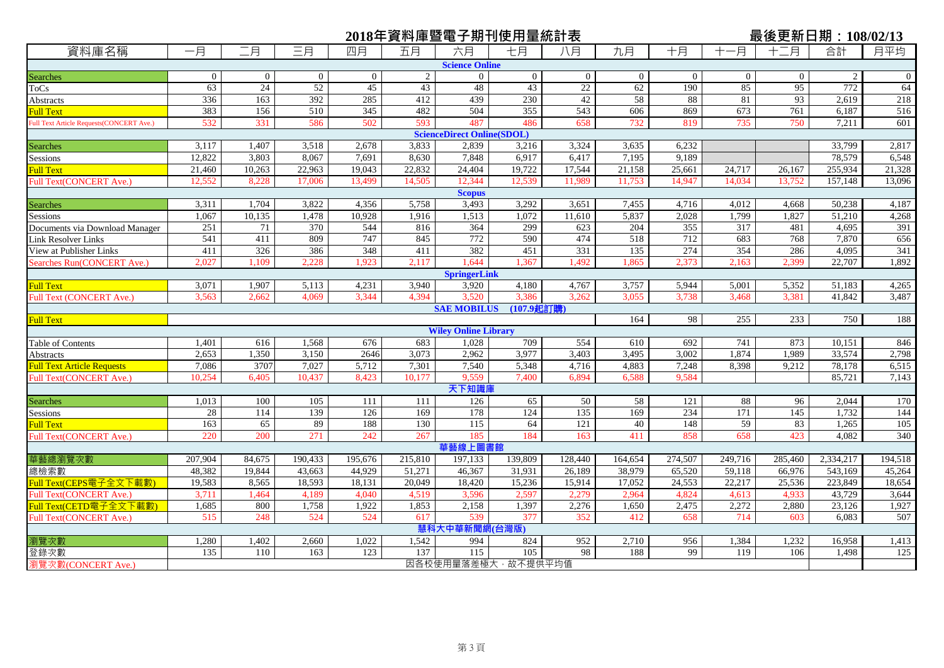|                                          |          |                 |                |                |                | 2018年資料庫暨電子期刊使用量統計表               |                |                 |          |                |              |                 | 最後更新日期: 108/02/13 |                     |
|------------------------------------------|----------|-----------------|----------------|----------------|----------------|-----------------------------------|----------------|-----------------|----------|----------------|--------------|-----------------|-------------------|---------------------|
| 資料庫名稱                                    | 一月       | 二月              | 三月             | 四月             | 五月             | 六月                                | 七月             | 八月              | 九月       | 十月             | -月<br>$^{+}$ | 十二月             | 合計                | 月平均                 |
|                                          |          |                 |                |                |                | <b>Science Online</b>             |                |                 |          |                |              |                 |                   |                     |
| <b>Searches</b>                          | $\Omega$ | $\overline{0}$  | $\overline{0}$ | $\overline{0}$ | $\overline{2}$ | $\overline{0}$                    | $\overline{0}$ | $\overline{0}$  | $\theta$ | $\overline{0}$ | $\mathbf{0}$ | $\mathbf{0}$    | $\overline{c}$    | $\mathbf 0$         |
| ToCs                                     | 63       | $\overline{24}$ | 52             | 45             | 43             | 48                                | 43             | $\overline{22}$ | 62       | 190            | 85           | $\overline{95}$ | 772               | 64                  |
| Abstracts                                | 336      | 163             | 392            | 285            | 412            | 439                               | 230            | 42              | 58       | 88             | 81           | 93              | 2,619             | 218                 |
| Full Text                                | 383      | 156             | 510            | 345            | 482            | 504                               | 355            | 543             | 606      | 869            | 673          | 761             | 6,187             | 516                 |
| Full Text Article Requests(CONCERT Ave.) | 532      | 331             | 586            | 502            | 593            | 487                               | 486            | 658             | 732      | 819            | 735          | 750             | 7,211             | 601                 |
|                                          |          |                 |                |                |                | <b>ScienceDirect Online(SDOL)</b> |                |                 |          |                |              |                 |                   |                     |
| Searches                                 | 3,117    | 1.407           | 3.518          | 2,678          | 3,833          | 2,839                             | 3,216          | 3,324           | 3,635    | 6.232          |              |                 | 33,799            | 2,817               |
| Sessions                                 | 12,822   | 3,803           | 8.067          | 7.691          | 8,630          | 7.848                             | 6,917          | 6,417           | 7,195    | 9.189          |              |                 | 78,579            | 6,548               |
| <b>Full Text</b>                         | 21,460   | 10,263          | 22,963         | 19,043         | 22,832         | 24,404                            | 19,722         | 17,544          | 21,158   | 25,661         | 24,717       | 26,167          | 255,934           | 21,328              |
| Full Text(CONCERT Ave.)                  | 12,552   | 8,228           | 17,006         | 13,499         | 14,505         | 12.344                            | 12,539         | 11,989          | 11,753   | 14,947         | 14,034       | 13,752          | 157,148           | 13,096              |
|                                          |          |                 |                |                |                | <b>Scopus</b>                     |                |                 |          |                |              |                 |                   |                     |
| Searches                                 | 3,311    | 1,704           | 3,822          | 4,356          | 5,758          | 3,493                             | 3,292          | 3,651           | 7,455    | 4,716          | 4,012        | 4,668           | 50,238            | 4,187               |
| Sessions                                 | 1,067    | 10.135          | 1.478          | 10.928         | 1,916          | 1,513                             | 1,072          | 11.610          | 5,837    | 2.028          | 1.799        | 1.827           | 51.210            | 4,268               |
| Documents via Download Manager           | 251      | 71              | 370            | 544            | 816            | 364                               | 299            | 623             | 204      | 355            | 317          | 481             | 4,695             | 391                 |
| Link Resolver Links                      | 541      | 411             | 809            | 747            | 845            | 772                               | 590            | 474             | 518      | 712            | 683          | 768             | 7,870             | 656                 |
| View at Publisher Links                  | 411      | 326             | 386            | 348            | 411            | 382                               | 451            | 331             | 135      | 274            | 354          | 286             | 4,095             | 341                 |
| Searches Run(CONCERT Ave.)               | 2,027    | 1,109           | 2,228          | 1,923          | 2,117          | 1,644                             | 1,367          | 1,492           | 1,865    | 2,373          | 2,163        | 2,399           | 22,707            | 1,892               |
|                                          |          |                 |                |                |                | <b>SpringerLink</b>               |                |                 |          |                |              |                 |                   |                     |
| <b>Full Text</b>                         | 3,071    | 1,907           | 5,113          | 4,231          | 3,940          | 3,920                             | 4,180          | 4,767           | 3,757    | 5,944          | 5,001        | 5,352           | 51,183            | 4,265               |
| Full Text (CONCERT Ave.)                 | 3.563    | 2.662           | 4.069          | 3,344          | 4.394          | 3.520                             | 3.386          | 3.262           | 3.055    | 3,738          | 3,468        | 3.381           | 41,842            | 3,487               |
| <b>Full Text</b>                         |          |                 |                |                |                | <b>SAE MOBILUS</b>                | (107.9起訂講)     |                 | 164      | 98             | 255          | 233             | 750               | 188                 |
|                                          |          |                 |                |                |                | <b>Wiley Online Library</b>       |                |                 |          |                |              |                 |                   |                     |
| Table of Contents                        | 1,401    | 616             | 1,568          | 676            | 683            | 1.028                             | 709            | 554             | 610      | 692            | 741          | 873             | 10,151            | 846                 |
| Abstracts                                | 2,653    | 1,350           | 3,150          | 2646           | 3,073          | 2,962                             | 3,977          | 3,403           | 3,495    | 3,002          | 1,874        | 1,989           | 33,574            | 2,798               |
| <b>Full Text Article Requests</b>        | 7,086    | 3707            | 7,027          | 5,712          | 7,301          | 7,540                             | 5,348          | 4,716           | 4,883    | 7,248          | 8,398        | 9,212           | 78,178            | 6,515               |
| Full Text(CONCERT Ave.)                  | 10,254   | 6,405           | 10,437         | 8,423          | 10,177         | 9,559                             | 7,400          | 6,894           | 6,588    | 9,584          |              |                 | 85,721            | 7,143               |
|                                          |          |                 |                |                |                | 天下知識                              |                |                 |          |                |              |                 |                   |                     |
| Searches                                 | 1,013    | 100             | 105            | 111            | 111            | 126                               | 65             | 50              | 58       | 121            | 88           | 96              | 2,044             | 170                 |
| Sessions                                 | 28       | 114             | 139            | 126            | 169            | 178                               | 124            | 135             | 169      | 234            | 171          | 145             | 1.732             | 144                 |
| Full Text                                | 163      | 65              | 89             | 188            | 130            | 115                               | 64             | 121             | 40       | 148            | 59           | 83              | 1,265             | 105                 |
| Full Text(CONCERT Ave.)                  | 220      | 200             | 271            | 242            | 267            | 185                               | 184            | 163             | 411      | 858            | 658          | 423             | 4,082             | 340                 |
|                                          |          |                 |                |                |                | 華藝線上圖書館                           |                |                 |          |                |              |                 |                   |                     |
| 華藝總瀏覽次數                                  | 207,904  | 84,675          | 190,433        | 195,676        | 215,810        | 197,133                           | 139,809        | 128,440         | 164,654  | 274,507        | 249,716      | 285,460         | 2,334,217         | 194,518             |
| 總檢索數                                     | 48,382   | 19,844          | 43,663         | 44,929         | 51,271         | 46,367                            | 31,931         | 26,189          | 38,979   | 65,520         | 59,118       | 66,976          | 543,169           | $\overline{45,264}$ |
| Full Text(CEPS電子全文下載數)                   | 19,583   | 8,565           | 18,593         | 18,131         | 20,049         | 18,420                            | 15,236         | 15,914          | 17,052   | 24,553         | 22,217       | 25,536          | 223,849           | 18,654              |
| <b>Full Text(CONCERT Ave.)</b>           | 3,711    | 1,464           | 4,189          | 4,040          | 4,519          | 3,596                             | 2,597          | 2,279           | 2,964    | 4,824          | 4,613        | 4,933           | 43,729            | 3,644               |
| Full Text(CETD電子全文下載數)                   | 1,685    | 800             | 1,758          | 1,922          | 1,853          | 2,158                             | 1,397          | 2,276           | 1,650    | 2,475          | 2,272        | 2,880           | 23,126            | 1,927               |
| Full Text(CONCERT Ave.)                  | 515      | 248             | 524            | 524            | 617            | 539                               | 377            | 352             | 412      | 658            | 714          | 603             | 6,083             | 507                 |
|                                          |          |                 |                |                |                | 慧科大中華新聞網(台灣版)                     |                |                 |          |                |              |                 |                   |                     |
| 瀏覽次數                                     | 1,280    | 1,402           | 2,660          | 1,022          | 1,542          | 994                               | 824            | 952             | 2,710    | 956            | 1,384        | 1,232           | 16,958            | 1,413               |
| 登錄次數                                     | 135      | 110             | 163            | 123            | 137            | $\frac{115}{115}$                 | 105            | 98              | 188      | 99             | 119          | 106             | 1,498             | 125                 |
| 瀏覽次數(CONCERT Ave.)                       |          |                 |                |                |                | 因各校使用量落差極大,故不提供平均值                |                |                 |          |                |              |                 |                   |                     |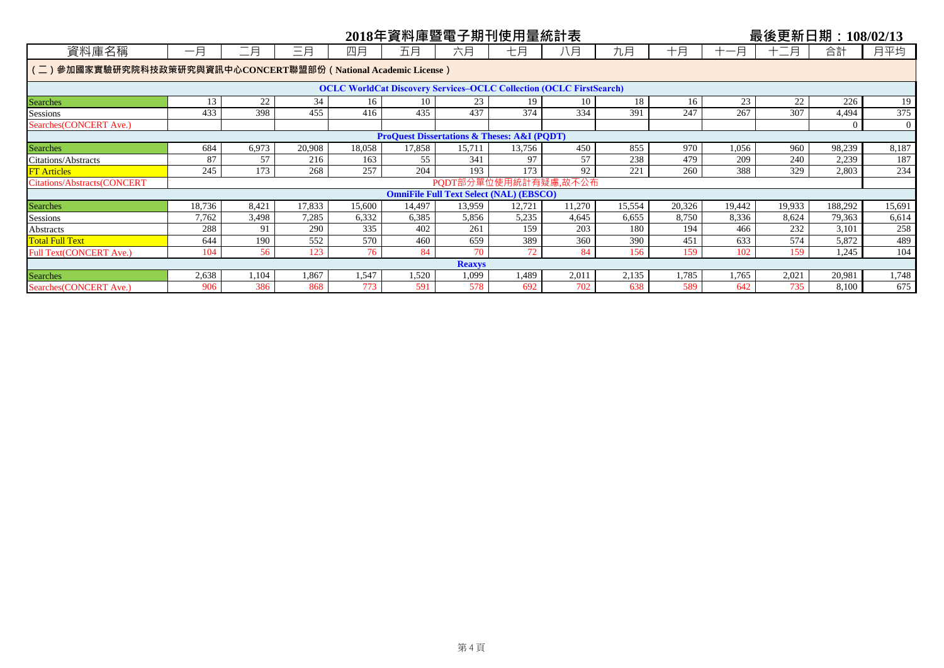|                                                                |                                                                                                                                                                                    |                                                                                |        |        |        | 2018年資料庫暨電子期刊使用量統計表                                                        |        |        |        |        |        | 最後更新日期: 108/02/13 |                |                |  |
|----------------------------------------------------------------|------------------------------------------------------------------------------------------------------------------------------------------------------------------------------------|--------------------------------------------------------------------------------|--------|--------|--------|----------------------------------------------------------------------------|--------|--------|--------|--------|--------|-------------------|----------------|----------------|--|
| 資料庫名稱                                                          | 一月                                                                                                                                                                                 | 二月                                                                             | 三月     | 四月     | 五月     | 六月                                                                         | 七月     | 八月     | 九月     | 十月     | 十一月    | 三月<br>$+$ $-$     | 合計             | 月平均            |  |
| (二)參加國家實驗研究院科技政策研究與資訊中心CONCERT聯盟部份 (National Academic License) |                                                                                                                                                                                    |                                                                                |        |        |        |                                                                            |        |        |        |        |        |                   |                |                |  |
|                                                                |                                                                                                                                                                                    |                                                                                |        |        |        | <b>OCLC WorldCat Discovery Services-OCLC Collection (OCLC FirstSearch)</b> |        |        |        |        |        |                   |                |                |  |
| <b>Searches</b>                                                | 13                                                                                                                                                                                 | 22                                                                             | 34     | 16     | 10     | 23                                                                         | 19     | 10     | 18     | 16     | 23     | 22                | 226            | 19             |  |
| <b>Sessions</b>                                                | 433                                                                                                                                                                                | 398                                                                            | 455    | 416    | 435    | 437                                                                        | 374    | 334    | 391    | 247    | 267    | 307               | 4,494          | 375            |  |
| Searches (CONCERT Ave.)                                        |                                                                                                                                                                                    |                                                                                |        |        |        |                                                                            |        |        |        |        |        |                   | $\overline{0}$ | $\overline{0}$ |  |
|                                                                | <b>ProQuest Dissertations &amp; Theses: A&amp;I (PODT)</b><br>6,973<br>684<br>20,908<br>18,058<br>450<br>855<br>970<br>960<br>98,239<br>17,858<br>15,711<br>13,756<br>1,056<br>187 |                                                                                |        |        |        |                                                                            |        |        |        |        |        |                   |                |                |  |
| <b>Searches</b>                                                |                                                                                                                                                                                    |                                                                                |        |        |        |                                                                            |        |        |        |        |        |                   |                | 8,187          |  |
| <b>Citations/Abstracts</b>                                     | 87                                                                                                                                                                                 | 57<br>97<br>57<br>238<br>479<br>209<br>2,239<br>240<br>216<br>163<br>55<br>341 |        |        |        |                                                                            |        |        |        |        |        |                   |                |                |  |
| <b>FT</b> Articles                                             | 245                                                                                                                                                                                | 173                                                                            | 268    | 257    | 204    | 193                                                                        | 173    | 92     | 221    | 260    | 388    | 329               | 2,803          | 234            |  |
| <b>Citations/Abstracts(CONCERT</b>                             |                                                                                                                                                                                    |                                                                                |        |        |        | PQDT部分單位使用統計有疑慮,故不公布                                                       |        |        |        |        |        |                   |                |                |  |
|                                                                |                                                                                                                                                                                    |                                                                                |        |        |        | <b>OmniFile Full Text Select (NAL) (EBSCO)</b>                             |        |        |        |        |        |                   |                |                |  |
| <b>Searches</b>                                                | 18,736                                                                                                                                                                             | 8,421                                                                          | 17,833 | 15,600 | 14,497 | 13,959                                                                     | 12,721 | 11,270 | 15,554 | 20,326 | 19,442 | 19,933            | 188,292        | 15,691         |  |
| Sessions                                                       | 7,762                                                                                                                                                                              | 3,498                                                                          | 7,285  | 6,332  | 6,385  | 5,856                                                                      | 5,235  | 4,645  | 6.655  | 8,750  | 8,336  | 8,624             | 79,363         | 6,614          |  |
| <b>Abstracts</b>                                               | 288                                                                                                                                                                                | 91                                                                             | 290    | 335    | 402    | 261                                                                        | 159    | 203    | 180    | 194    | 466    | 232               | 3,101          | 258            |  |
| <b>Total Full Text</b>                                         | 644                                                                                                                                                                                | 190                                                                            | 552    | 570    | 460    | 659                                                                        | 389    | 360    | 390    | 451    | 633    | 574               | 5,872          | 489            |  |
| Full Text(CONCERT Ave.)                                        | 104                                                                                                                                                                                | 56                                                                             | 123    | 76     | 84     | 70                                                                         | 72     | 84     | 156    | 159    | 102    | 159               | 1,245          | 104            |  |
|                                                                |                                                                                                                                                                                    |                                                                                |        |        |        | <b>Reaxys</b>                                                              |        |        |        |        |        |                   |                |                |  |
| <b>Searches</b>                                                | 2,638                                                                                                                                                                              | 1,104                                                                          | 1,867  | 1,547  | 1,520  | 1,099                                                                      | 1,489  | 2,01   | 2,135  | 1,785  | 1,765  | 2,021             | 20,981         | 1,748          |  |
| Searches (CONCERT Ave.)                                        | 906                                                                                                                                                                                | 386                                                                            | 868    | 773    | 591    | 578                                                                        | 692    | 702    | 638    | 589    | 642    | 735               | 8,100          | 675            |  |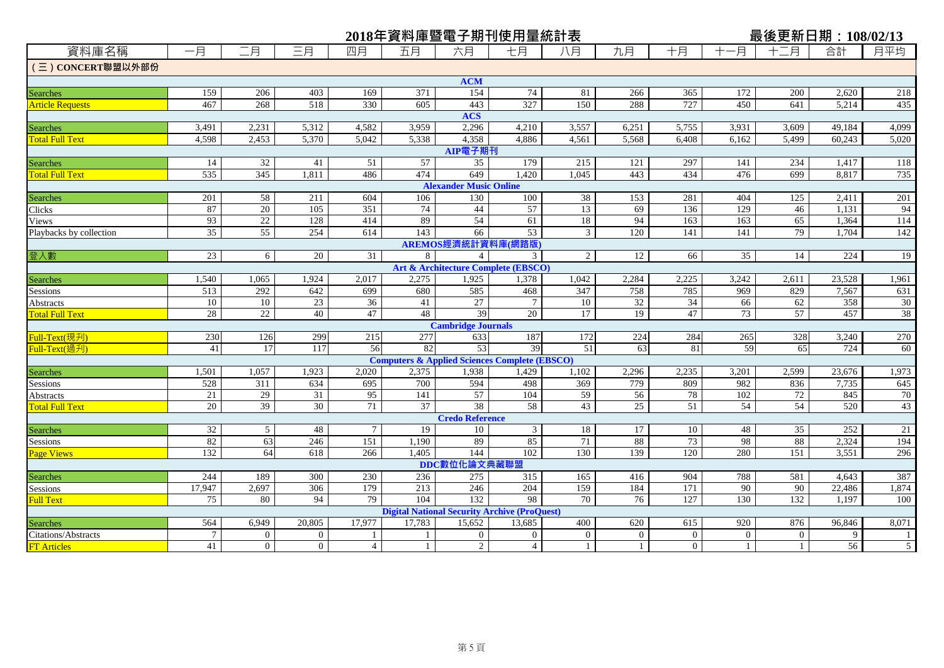|                                           |                 |                       |                 |                 |             |                               | 2018年資料庫暨電子期刊使用量統計表                                           |                 |                |                |              | 最後更新日期: 108/02/13 |                 |                |
|-------------------------------------------|-----------------|-----------------------|-----------------|-----------------|-------------|-------------------------------|---------------------------------------------------------------|-----------------|----------------|----------------|--------------|-------------------|-----------------|----------------|
| 資料庫名稱                                     | 一月              | 二月                    | 三月              | 四月              | 五月          | 六月                            | 七月                                                            | 八月              | 九月             | 十月             | -月<br>$+-$   | 月                 | 合計              | 月平均            |
| (三) CONCERT聯盟以外部份                         |                 |                       |                 |                 |             |                               |                                                               |                 |                |                |              |                   |                 |                |
|                                           |                 |                       |                 |                 |             | <b>ACM</b>                    |                                                               |                 |                |                |              |                   |                 |                |
| Searches                                  | 159             | 206                   | 403             | 169             | 371         | 154                           | 74                                                            | 81              | 266            | 365            | 172          | 200               | 2,620           | 218            |
| <b>Article Requests</b>                   | 467             | 268                   | 518             | 330             | 605         | 443                           | 327                                                           | 150             | 288            | 727            | 450          | 641               | 5,214           | 435            |
|                                           |                 |                       |                 |                 |             | <b>ACS</b>                    |                                                               |                 |                |                |              |                   |                 |                |
| Searches                                  | 3,491           | 2,231                 | 5,312           | 4,582           | 3,959       | 2,296                         | 4,210                                                         | 3,557           | 6,251          | 5,755          | 3,931        | 3,609             | 49,184          | 4,099          |
| <b>Total Full Text</b>                    | 4,598           | 2,453                 | 5,370           | 5,042           | 5,338       | 4,358                         | 4,886                                                         | 4,561           | 5,568          | 6,408          | 6,162        | 5,499             | 60.243          | 5,020          |
|                                           |                 |                       |                 |                 |             | AIP電子期刊                       |                                                               |                 |                |                |              |                   |                 |                |
| Searches                                  | 14              | 32                    | 41              | 51              | 57          | 35                            | 179                                                           | 215             | 121            | 297            | 141          | 234               | 1,417           | 118            |
| <b>Total Full Text</b>                    | 535             | 345                   | 1,811           | 486             | 474         | 649                           | 1,420                                                         | 1,045           | 443            | 434            | 476          | 699               | 8,817           | 735            |
|                                           |                 |                       |                 |                 |             | <b>Alexander Music Online</b> |                                                               |                 |                |                |              |                   |                 |                |
| Searches                                  | 201             | 58                    | 211             | 604             | 106         | 130                           | 100                                                           | 38              | 153            | 281            | 404          | 125               | 2,411           | 201            |
| Clicks                                    | 87              | 20                    | 105             | 351             | 74          | 44                            | 57                                                            | 13              | 69             | 136            | 129          | 46                | 1,131           | 94             |
| <b>Views</b>                              | 93              | $\overline{22}$       | 128             | 414             | 89          | 54                            | 61                                                            | 18              | 94             | 163            | 163          | 65                | 1,364           | 114            |
| Playbacks by collection                   | $\overline{35}$ | 55                    | 254             | 614             | 143         | 66                            | 53                                                            | 3               | 120            | 141            | 141          | 79                | 1,704           | 142            |
|                                           |                 |                       |                 |                 |             | AREMOS經濟統計資料庫(網路版)            |                                                               |                 |                |                |              |                   |                 |                |
| 登入數                                       | 23              | 6                     | 20              | 31              | 8           | $\overline{4}$                | $\overline{3}$                                                | $\overline{2}$  | 12             | 66             | 35           | 14                | 224             | 19             |
|                                           |                 |                       |                 |                 |             |                               | <b>Art &amp; Architecture Complete (EBSCO)</b>                |                 |                |                |              |                   |                 |                |
| Searches                                  | 1,540           | 1,065                 | 1,924           | 2,017           | 2,275       | 1,925                         | 1,378                                                         | 1,042           | 2,284          | 2,225          | 3,242        | 2,611             | 23,528          | 1,961          |
| Sessions                                  | 513             | 292                   | 642             | 699             | 680         | 585                           | 468                                                           | 347             | 758            | 785            | 969          | 829               | 7,567           | 631            |
| Abstracts                                 | 10              | 10                    | 23              | 36              | 41          | 27                            | 7                                                             | 10              | 32             | 34             | 66           | 62                | 358             | 30             |
| <b>Total Full Text</b>                    | 28              | 22                    | 40              | 47              | 48          | 39                            | 20                                                            | 17              | 19             | 47             | 73           | 57                | 457             | 38             |
|                                           |                 |                       |                 |                 |             | <b>Cambridge Journals</b>     |                                                               |                 |                |                |              |                   |                 |                |
| Full-Text(現刋)                             | 230             | 126                   | 299             | 215             | 277         | 633                           | 187                                                           | 172             | 224            | 284            | 265          | 328               | 3,240           | 270            |
| Full-Text(過刋)                             | 41              | 17                    | 117             | 56              | 82          | 53                            | 39                                                            | $\overline{51}$ | 63             | 81             | 59           | 65                | 724             | 60             |
|                                           |                 |                       |                 |                 |             |                               | <b>Computers &amp; Applied Sciences Complete (EBSCO)</b>      |                 |                |                |              |                   |                 |                |
| Searches                                  | 1,501           | 1,057                 | 1,923           | 2,020           | 2,375       | 1,938                         | 1,429                                                         | 1,102           | 2,296          | 2,235          | 3,201        | 2,599             | 23,676          | 1,973          |
| Sessions                                  | 528             | $\overline{311}$      | 634             | 695             | 700         | 594                           | 498                                                           | 369             | 779            | 809            | 982          | 836               | 7,735           | 645            |
| Abstracts                                 | 21              | 29                    | $\overline{31}$ | 95              | 141         | 57                            | 104                                                           | 59              | 56             | 78             | 102          | 72                | 845             | 70             |
| <b>Total Full Text</b>                    | $\overline{20}$ | 39                    | $\overline{30}$ | 71              | 37          | 38                            | 58                                                            | 43              | 25             | 51             | 54           | 54                | 520             | 43             |
|                                           |                 |                       |                 |                 |             | <b>Credo Reference</b>        |                                                               |                 |                |                |              |                   |                 |                |
| <b>Searches</b>                           | 32<br>82        | $5\overline{)}$<br>63 | 48              | $7\overline{ }$ | 19<br>1,190 | 10<br>89                      | $\mathfrak{Z}$<br>85                                          | 18<br>71        | 17<br>88       | 10<br>73       | 48           | 35<br>88          | 252<br>2,324    | 21<br>194      |
| <b>Sessions</b>                           | 132             | 64                    | 246<br>618      | 151<br>266      | 1,405       | 144                           | 102                                                           | 130             | 139            | 120            | 98<br>280    | $\overline{151}$  | 3,551           | 296            |
| <b>Page Views</b>                         |                 |                       |                 |                 |             | DDC數位化論文典藏聯盟                  |                                                               |                 |                |                |              |                   |                 |                |
|                                           |                 |                       |                 |                 |             |                               |                                                               |                 |                |                |              |                   |                 |                |
| <b>Searches</b>                           | 244             | 189<br>2,697          | 300<br>306      | 230<br>179      | 236<br>213  | 275<br>246                    | 315<br>204                                                    | 165<br>159      | 416<br>184     | 904<br>171     | 788          | 581<br>90         | 4,643           | 387            |
| Sessions                                  | 17,947<br>75    | 80                    | 94              | 79              | 104         | 132                           | 98                                                            | 70              | 76             | 127            | 90<br>130    | 132               | 22,486<br>1,197 | 1,874          |
| <b>Full Text</b>                          |                 |                       |                 |                 |             |                               |                                                               |                 |                |                |              |                   |                 | 100            |
|                                           | 564             | 6,949                 | 20,805          | 17,977          | 17,783      | 15,652                        | <b>Digital National Security Archive (ProQuest)</b><br>13,685 | 400             | 620            | 615            | 920          | 876               | 96,846          | 8,071          |
| <b>Searches</b>                           | $\tau$          | $\overline{0}$        | $\overline{0}$  |                 |             | $\overline{0}$                | $\overline{0}$                                                | $\overline{0}$  | $\overline{0}$ | $\overline{0}$ | $\Omega$     | $\theta$          | 9               | 1              |
| Citations/Abstracts<br><b>FT</b> Articles | 41              | $\overline{0}$        | $\overline{0}$  | $\overline{4}$  |             | $\overline{2}$                | $\overline{4}$                                                | $\mathbf{1}$    | $\mathbf{1}$   | $\Omega$       | $\mathbf{1}$ | $\mathbf{1}$      | $\overline{56}$ | $\mathfrak{S}$ |
|                                           |                 |                       |                 |                 |             |                               |                                                               |                 |                |                |              |                   |                 |                |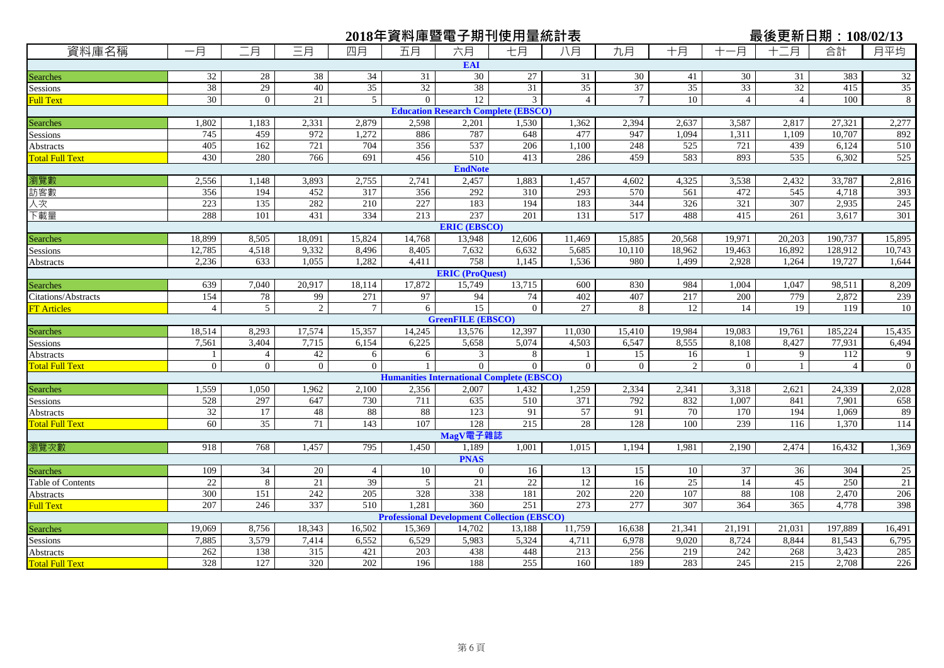|                        |                 |                 |                |                 |          |                          | 2018年資料庫暨電子期刊使用量統計表                                |                |                 |                 |                |                | 最後更新日期:108/02/13 |                 |
|------------------------|-----------------|-----------------|----------------|-----------------|----------|--------------------------|----------------------------------------------------|----------------|-----------------|-----------------|----------------|----------------|------------------|-----------------|
| 資料庫名稱                  | 一月              | 二月              | 三月             | 四月              | 五月       | 六月                       | 七月                                                 | 八月             | 九月              | 十月              | -月<br>$^{+}$   | 十二月            | 合計               | 月平均             |
|                        |                 |                 |                |                 |          | <b>EAI</b>               |                                                    |                |                 |                 |                |                |                  |                 |
| Searches               | 32              | 28              | 38             | 34              | 31       | 30                       | 27                                                 | 31             | 30              | 41              | 30             | 31             | 383              | 32              |
| Sessions               | 38              | 29              | 40             | 35              | 32       | 38                       | 31                                                 | 35             | 37              | 35              | 33             | 32             | 415              | 35              |
| <b>Full Text</b>       | 30              | $\overline{0}$  | 21             | $5\overline{)}$ | $\Omega$ | 12                       | 3                                                  | $\overline{4}$ | $7\phantom{.0}$ | 10              | $\overline{4}$ | $\overline{4}$ | 100              | 8               |
|                        |                 |                 |                |                 |          |                          | <b>Education Research Complete (EBSCO)</b>         |                |                 |                 |                |                |                  |                 |
| Searches               | 1,802           | 1,183           | 2,331          | 2,879           | 2,598    | 2,201                    | 1,530                                              | 1,362          | 2,394           | 2,637           | 3,587          | 2,817          | 27,321           | 2,277           |
| Sessions               | 745             | 459             | 972            | 1,272           | 886      | 787                      | 648                                                | 477            | 947             | 1,094           | 1,311          | 1,109          | 10,707           | 892             |
| Abstracts              | 405             | 162             | 721            | 704             | 356      | 537                      | 206                                                | 1,100          | 248             | 525             | 721            | 439            | 6,124            | 510             |
| <b>Total Full Text</b> | 430             | 280             | 766            | 691             | 456      | 510                      | 413                                                | 286            | 459             | 583             | 893            | 535            | 6,302            | 525             |
|                        |                 |                 |                |                 |          | <b>EndNote</b>           |                                                    |                |                 |                 |                |                |                  |                 |
| 瀏覽數                    | 2,556           | 1,148           | 3,893          | 2,755           | 2,741    | 2,457                    | 1,883                                              | 1,457          | 4,602           | 4,325           | 3,538          | 2,432          | 33,787           | 2,816           |
| 訪客數                    | 356             | 194             | 452            | 317             | 356      | 292                      | 310                                                | 293            | 570             | 561             | 472            | 545            | 4,718            | 393             |
| 人次                     | 223             | 135             | 282            | 210             | 227      | 183                      | 194                                                | 183            | 344             | 326             | 321            | 307            | 2,935            | 245             |
| 下載量                    | 288             | 101             | 431            | 334             | 213      | 237                      | 201                                                | 131            | 517             | 488             | 415            | 261            | 3,617            | 301             |
|                        |                 |                 |                |                 |          | <b>ERIC (EBSCO)</b>      |                                                    |                |                 |                 |                |                |                  |                 |
| Searches               | 18,899          | 8,505           | 18,091         | 15,824          | 14,768   | 13,948                   | 12,606                                             | 11,469         | 15,885          | 20,568          | 19,971         | 20,203         | 190,737          | 15,895          |
| Sessions               | 12,785          | 4,518           | 9,332          | 8.496           | 8,405    | 7,632                    | 6,632                                              | 5,685          | 10,110          | 18,962          | 19,463         | 16,892         | 128,912          | 10,743          |
| Abstracts              | 2,236           | 633             | 1,055          | 1,282           | 4,411    | 758                      | 1,145                                              | 1,536          | 980             | 1,499           | 2,928          | 1,264          | 19,727           | 1,644           |
|                        |                 |                 |                |                 |          | <b>ERIC</b> (ProQuest)   |                                                    |                |                 |                 |                |                |                  |                 |
| Searches               | 639             | 7,040           | 20,917         | 18,114          | 17,872   | 15,749                   | 13,715                                             | 600            | 830             | 984             | 1,004          | 1,047          | 98,511           | 8,209           |
| Citations/Abstracts    | 154             | 78              | 99             | 271             | 97       | 94                       | 74                                                 | 402            | 407             | 217             | 200            | 779            | 2,872            | 239             |
| <b>FT</b> Articles     | $\overline{4}$  | 5               | $\overline{2}$ | $\tau$          | 6        | 15                       | $\Omega$                                           | 27             | 8               | 12              | 14             | 19             | 119              | 10              |
|                        |                 |                 |                |                 |          | <b>GreenFILE</b> (EBSCO) |                                                    |                |                 |                 |                |                |                  |                 |
| Searches               | 18,514          | 8,293           | 17,574         | 15,357          | 14,245   | 13,576                   | 12,397                                             | 11,030         | 15,410          | 19.984          | 19.083         | 19,761         | 185,224          | 15,435          |
| Sessions               | 7,561           | 3,404           | 7,715          | 6,154           | 6,225    | 5,658                    | 5,074                                              | 4,503          | 6,547           | 8,555           | 8,108          | 8,427          | 77,931           | 6,494           |
| Abstracts              | 1               | $\overline{4}$  | 42             | 6               | 6        | 3                        | 8                                                  | $\mathbf{1}$   | 15              | 16              | $\mathbf{1}$   | 9              | 112              | 9               |
| <b>Total Full Text</b> | $\Omega$        | $\overline{0}$  | $\overline{0}$ | $\Omega$        |          | $\Omega$                 | $\Omega$                                           | $\overline{0}$ | $\overline{0}$  | 2               | $\overline{0}$ | $\mathbf{1}$   | $\overline{4}$   | $\mathbf{0}$    |
|                        |                 |                 |                |                 |          |                          | <b>Humanities International Complete (EBSCO)</b>   |                |                 |                 |                |                |                  |                 |
| Searches               | 1,559           | 1,050           | 1,962          | 2,100           | 2,356    | 2,007                    | 1,432                                              | 1,259          | 2,334           | 2,341           | 3,318          | 2,621          | 24,339           | 2,028           |
| Sessions               | 528             | 297             | 647            | 730             | 711      | 635                      | 510                                                | 371            | 792             | 832             | 1,007          | 841            | 7,901            | 658             |
| Abstracts              | 32              | 17              | 48             | 88              | 88       | 123                      | 91                                                 | 57             | 91              | 70              | 170            | 194            | 1,069            | 89              |
| <b>Total Full Text</b> | 60              | $\overline{35}$ | 71             | 143             | 107      | 128                      | 215                                                | 28             | 128             | 100             | 239            | 116            | 1,370            | 114             |
|                        |                 |                 |                |                 |          | MagV電子雜誌                 |                                                    |                |                 |                 |                |                |                  |                 |
| 瀏覽次數                   | 918             | 768             | 1,457          | 795             | 1,450    | 1,189                    | 1,001                                              | 1,015          | 1,194           | 1,981           | 2,190          | 2,474          | 16,432           | 1,369           |
|                        |                 |                 |                |                 |          | <b>PNAS</b>              |                                                    |                |                 |                 |                |                |                  |                 |
| Searches               | 109             | 34              | 20             | $\overline{4}$  | 10       | $\overline{0}$           | 16                                                 | 13             | 15              | 10              | 37             | 36             | 304              | $\overline{25}$ |
| Table of Contents      | $\overline{22}$ | 8               | 21             | 39              | 5        | 21                       | 22                                                 | 12             | 16              | $\overline{25}$ | 14             | 45             | 250              | 21              |
| <b>Abstracts</b>       | 300             | 151             | 242            | 205             | 328      | 338                      | 181                                                | 202            | 220             | 107             | 88             | 108            | 2,470            | 206             |
| <b>Full Text</b>       | 207             | 246             | 337            | 510             | 1,281    | 360                      | 251                                                | 273            | 277             | 307             | 364            | 365            | 4,778            | 398             |
|                        |                 |                 |                |                 |          |                          | <b>Professional Development Collection (EBSCO)</b> |                |                 |                 |                |                |                  |                 |
| Searches               | 19,069          | 8,756           | 18,343         | 16,502          | 15,369   | 14,702                   | 13,188                                             | 11,759         | 16,638          | 21,341          | 21,191         | 21,031         | 197,889          | 16,491          |
| Sessions               | 7,885           | 3,579           | 7,414          | 6,552           | 6,529    | 5,983                    | 5,324                                              | 4,711          | 6,978           | 9,020           | 8,724          | 8,844          | 81,543           | 6,795           |
| Abstracts              | 262             | 138             | 315            | 421             | 203      | 438                      | 448                                                | 213            | 256             | 219             | 242            | 268            | 3,423            | 285             |
| <b>Total Full Text</b> | 328             | 127             | 320            | 202             | 196      | 188                      | 255                                                | 160            | 189             | 283             | 245            | 215            | 2,708            | 226             |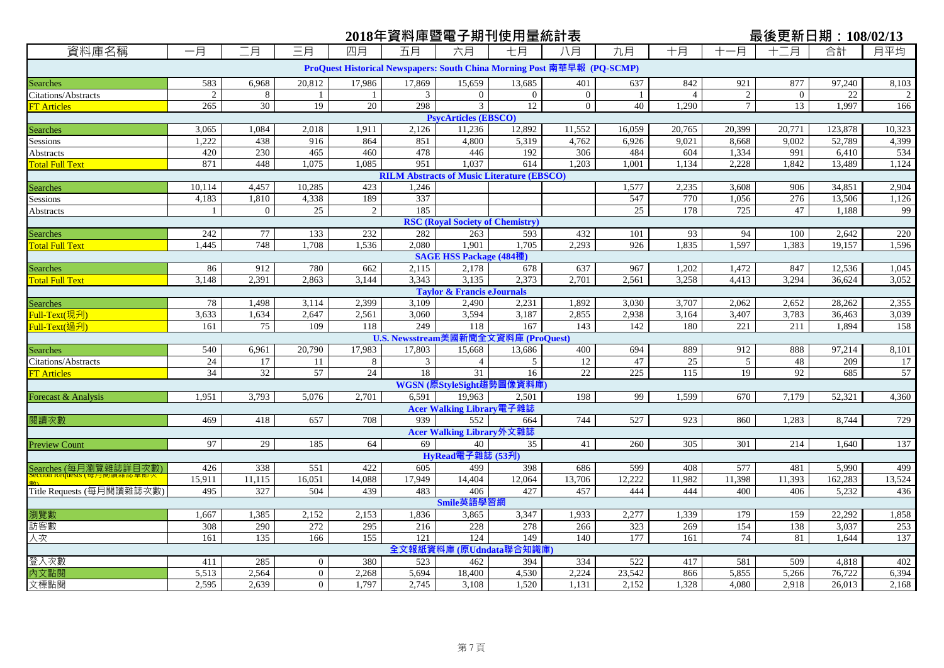# <u>2018年資料庫暨電子期刊使用量統計表 最後更新日期:108/02/13</u>

| 資料庫名稱                      | 一月              | 二月              | 三月             | 四月             | 五月              | 六月                                                                      | 七月             | 八月             | 九月           | 十月             | 一月             | 月                | 合計      | 月平均            |
|----------------------------|-----------------|-----------------|----------------|----------------|-----------------|-------------------------------------------------------------------------|----------------|----------------|--------------|----------------|----------------|------------------|---------|----------------|
|                            |                 |                 |                |                |                 | ProQuest Historical Newspapers: South China Morning Post 南華早報 (PQ-SCMP) |                |                |              |                |                |                  |         |                |
| Searches                   | 583             | 6,968           | 20,812         | 17,986         | 17,869          | 15,659                                                                  | 13,685         | 401            | 637          | 842            | 921            | 877              | 97,240  | 8,103          |
| <b>Citations/Abstracts</b> | 2               | 8               |                | $\mathbf{1}$   | 3               | $\overline{0}$                                                          | $\overline{0}$ | $\overline{0}$ | $\mathbf{1}$ | $\overline{4}$ | 2              | $\mathbf{0}$     | 22      | $\overline{2}$ |
| <b>FT</b> Articles         | 265             | $\overline{30}$ | 19             | 20             | 298             | $\mathfrak{Z}$                                                          | 12             | $\mathbf{0}$   | 40           | 1,290          | $\overline{7}$ | 13               | 1,997   | 166            |
|                            |                 |                 |                |                |                 | <b>PsycArticles (EBSCO)</b>                                             |                |                |              |                |                |                  |         |                |
| Searches                   | 3,065           | 1,084           | 2,018          | 1,911          | 2,126           | 11,236                                                                  | 12,892         | 11,552         | 16,059       | 20,765         | 20,399         | 20,771           | 123,878 | 10,323         |
| Sessions                   | 1,222           | 438             | 916            | 864            | 851             | 4,800                                                                   | 5,319          | 4,762          | 6,926        | 9,021          | 8,668          | 9,002            | 52,789  | 4,399          |
| Abstracts                  | 420             | 230             | 465            | 460            | 478             | 446                                                                     | 192            | 306            | 484          | 604            | 1,334          | 991              | 6,410   | 534            |
| <b>Total Full Text</b>     | 871             | 448             | 1,075          | 1,085          | 951             | 1,037                                                                   | 614            | 1,203          | 1,001        | 1,134          | 2,228          | 1,842            | 13,489  | 1,124          |
|                            |                 |                 |                |                |                 | <b>RILM Abstracts of Music Literature (EBSCO)</b>                       |                |                |              |                |                |                  |         |                |
| Searches                   | 10,114          | 4,457           | 10,285         | 423            | 1,246           |                                                                         |                |                | 1,577        | 2,235          | 3,608          | 906              | 34,851  | 2,904          |
| Sessions                   | 4,183           | 1,810           | 4,338          | 189            | 337             |                                                                         |                |                | 547          | 770            | 1,056          | 276              | 13,506  | 1,126          |
| Abstracts                  |                 | $\overline{0}$  | 25             | $\overline{2}$ | 185             |                                                                         |                |                | 25           | 178            | 725            | 47               | 1,188   | 99             |
|                            |                 |                 |                |                |                 | <b>RSC (Royal Society of Chemistry)</b>                                 |                |                |              |                |                |                  |         |                |
| <b>Searches</b>            | 242             | 77              | 133            | 232            | 282             | 263                                                                     | 593            | 432            | 101          | 93             | 94             | 100              | 2,642   | 220            |
| Total Full Text            | 1,445           | 748             | 1,708          | 1,536          | 2,080           | 1,901                                                                   | 1.705          | 2,293          | 926          | 1,835          | 1,597          | 1,383            | 19,157  | 1,596          |
|                            |                 |                 |                |                |                 | <b>SAGE HSS Package (484種</b>                                           |                |                |              |                |                |                  |         |                |
| Searches                   | 86              | 912             | 780            | 662            | 2,115           | 2,178                                                                   | 678            | 637            | 967          | 1,202          | 1,472          | 847              | 12,536  | 1,045          |
| <b>Total Full Text</b>     | 3,148           | 2,391           | 2,863          | 3,144          | 3,343           | 3,135                                                                   | 2,373          | 2,701          | 2,561        | 3,258          | 4,413          | 3,294            | 36,624  | 3,052          |
|                            |                 |                 |                |                |                 | <b>Taylor &amp; Francis eJournals</b>                                   |                |                |              |                |                |                  |         |                |
| Searches                   | 78              | 1,498           | 3,114          | 2,399          | 3,109           | 2,490                                                                   | 2,231          | 1,892          | 3,030        | 3,707          | 2,062          | 2,652            | 28,262  | 2,355          |
| <mark>Full-Text(現刋)</mark> | 3,633           | 1,634           | 2,647          | 2,561          | 3,060           | 3,594                                                                   | 3,187          | 2,855          | 2,938        | 3,164          | 3,407          | 3,783            | 36,463  | 3,039          |
| Full-Text(過刋)              | 161             | 75              | 109            | 118            | 249             | 118                                                                     | 167            | 143            | 142          | 180            | 221            | $\overline{211}$ | 1,894   | 158            |
|                            |                 |                 |                |                |                 | U.S. Newsstream美國新聞全文資料庫 (ProQuest)                                     |                |                |              |                |                |                  |         |                |
| <b>Searches</b>            | 540             | 6,961           | 20,790         | 17,983         | 17,803          | 15,668                                                                  | 13,686         | 400            | 694          | 889            | 912            | 888              | 97,214  | 8,101          |
| <b>Citations/Abstracts</b> | 24              | 17              | 11             | 8              | 3               | $\overline{4}$                                                          | 5              | 12             | 47           | 25             | 5              | 48               | 209     | 17             |
| <b>FT</b> Articles         | $\overline{34}$ | 32              | 57             | 24             | $\overline{18}$ | $\overline{31}$                                                         | 16             | 22             | 225          | 115            | 19             | 92               | 685     | 57             |
|                            |                 |                 |                |                |                 | WGSN (原StyleSight趨勢)                                                    | 圖像資料庫          |                |              |                |                |                  |         |                |
| Forecast & Analysis        | 1,951           | 3,793           | 5,076          | 2,701          | 6,591           | 19,963                                                                  | 2,501          | 198            | 99           | 1,599          | 670            | 7,179            | 52,321  | 4,360          |
|                            |                 |                 |                |                |                 | Acer Walking Library 電子雜誌                                               |                |                |              |                |                |                  |         |                |
| 閱讀次數                       | 469             | 418             | 657            | 708            | 939             | 552                                                                     | 664            | 744            | 527          | 923            | 860            | 1,283            | 8,744   | 729            |
|                            |                 |                 |                |                |                 | Acer Walking Library外文雜誌                                                |                |                |              |                |                |                  |         |                |
| <b>Preview Count</b>       | 97              | 29              | 185            | 64             | 69              | 40                                                                      | 35             | 41             | 260          | 305            | 301            | 214              | 1.640   | 137            |
|                            |                 |                 |                |                |                 | HyRead 電子雜誌 (53刋)                                                       |                |                |              |                |                |                  |         |                |
| Searches (每月瀏覽雜誌詳目次數)      | 426             | 338             | 551            | 422            | 605             | 499                                                                     | 398            | 686            | 599          | 408            | 577            | 481              | 5,990   | 499            |
|                            | 15,911          | 11,115          | 16,051         | 14,088         | 17,949          | 14,404                                                                  | 12,064         | 13,706         | 12,222       | 11,982         | 11,398         | 11,393           | 162,283 | 13,524         |
| Title Requests (每月閱讀雜誌次數)  | 495             | 327             | 504            | 439            | 483             | 406                                                                     | 427            | 457            | 444          | 444            | 400            | 406              | 5,232   | 436            |
|                            |                 |                 |                |                |                 | Smile英語學習網                                                              |                |                |              |                |                |                  |         |                |
| 瀏覽數                        | 1,667           | 1,385           | 2,152          | 2,153          | 1,836           | 3,865                                                                   | 3,347          | 1,933          | 2,277        | 1,339          | 179            | 159              | 22,292  | 1,858          |
| 訪客數                        | 308             | 290             | 272            | 295            | 216             | 228                                                                     | 278            | 266            | 323          | 269            | 154            | 138              | 3,037   | 253            |
| 人次                         | 161             | 135             | 166            | 155            | 121             | 124                                                                     | 149            | 140            | 177          | 161            | 74             | 81               | 1,644   | 137            |
|                            |                 |                 |                |                |                 | 全文報紙資料庫 (原Udndata聯合知識庫)                                                 |                |                |              |                |                |                  |         |                |
| 登入次數                       | 411             | 285             | $\overline{0}$ | 380            | 523             | 462                                                                     | 394            | 334            | 522          | 417            | 581            | 509              | 4,818   | 402            |
| 內文點閱                       | 5,513           | 2,564           | $\mathbf{0}$   | 2,268          | 5,694           | 18,400                                                                  | 4,530          | 2,224          | 23,542       | 866            | 5,855          | 5,266            | 76,722  | 6,394          |
| 文標點閱                       | 2,595           | 2,639           | $\overline{0}$ | 1,797          | 2,745           | 3,108                                                                   | 1,520          | 1,131          | 2,152        | 1,328          | 4,080          | 2,918            | 26,013  | 2,168          |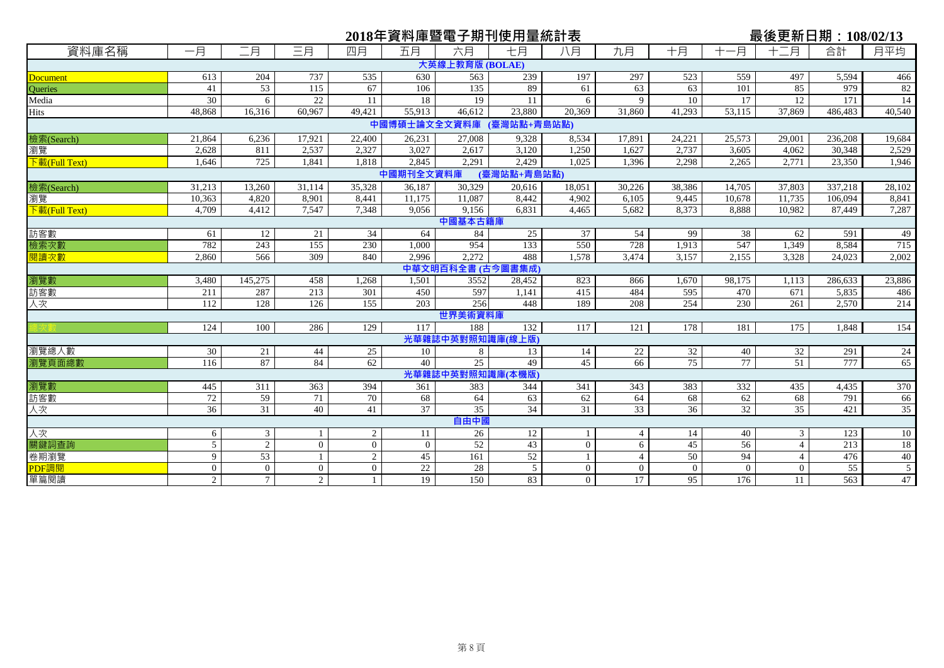|                                  |                |                |                |                     |                       |                 | 2018年資料庫暨電子期刊使用量統計表      |              |                |                |                 | 最後更新日期: 108/02/13 |                  |                 |
|----------------------------------|----------------|----------------|----------------|---------------------|-----------------------|-----------------|--------------------------|--------------|----------------|----------------|-----------------|-------------------|------------------|-----------------|
| 資料庫名稱                            | 一月             | 二月             | 三月             | 四月                  | 五月                    | 六月              | 七月                       | 八月           | 九月             | 十月             | 一月              | 十二月               | 合計               | 月平均             |
|                                  |                |                |                |                     |                       | 大英線上教育版 (BOLAE) |                          |              |                |                |                 |                   |                  |                 |
| <b>Document</b>                  | 613            | 204            | 737            | 535                 | 630                   | 563             | 239                      | 197          | 297            | 523            | 559             | 497               | 5,594            | 466             |
| Queries                          | 41             | 53             | 115            | 67                  | 106                   | 135             | 89                       | 61           | 63             | 63             | 101             | 85                | 979              | 82              |
| Media                            | 30             | 6              | 22             | 11                  | 18                    | 19              | 11                       | 6            | 9              | 10             | 17              | 12                | 171              | 14              |
| <b>Hits</b>                      | 48.868         | 16.316         | 60.967         | 49.421              | 55.913                | 46.612          | 23.880                   | 20.369       | 31.860         | 41.293         | 53,115          | 37,869            | 486,483          | 40,540          |
|                                  |                |                |                |                     |                       |                 | 中國博碩士論文全文資料庫 (臺灣站點+青島站點) |              |                |                |                 |                   |                  |                 |
| 檢索(Search)                       | 21,864         | 6,236          | 17,921         | 22,400              | 26,231                | 27,008          | 9,328                    | 8,534        | 17,891         | 24,221         | 25,573          | 29,001            | 236,208          | 19,684          |
| 瀏覽                               | 2,628          | 811            | 2,537          | 2,327               | 3,027                 | 2,617           | 3,120                    | 1,250        | 1,627          | 2,737          | 3,605           | 4,062             | 30,348           | 2,529           |
| $\sqrt{\frac{1}{k}}$ (Full Text) | 1.646          | 725            | 1.841          | 1.818               | 2.845                 | 2,291           | 2.429                    | 1.025        | 1.396          | 2,298          | 2,265           | 2,771             | 23,350           | 1,946           |
|                                  |                |                |                |                     | 中國期刊全文資料庫             |                 | (臺灣站點+青島站點)              |              |                |                |                 |                   |                  |                 |
| 檢索(Search)                       | 31,213         | 13,260         | 31,114         | 35,328              | 36,187                | 30.329          | 20,616                   | 18,051       | 30,226         | 38,386         | 14,705          | 37,803            | 337,218          | 28,102          |
| 瀏覽                               | 10,363         | 4,820          | 8,901          | 8,441               | 11,175                | 11,087          | 8,442                    | 4,902        | 6,105          | 9,445          | 10,678          | 11,735            | 106,094          | 8,841           |
| $\sqrt{\frac{1}{k}}$ (Full Text) | 4,709          | 4,412          | 7,547          | 7,348               | 9.056                 | 9,156           | 6,831                    | 4,465        | 5,682          | 8,373          | 8,888           | 10,982            | 87,449           | 7,287           |
|                                  |                |                |                |                     |                       | 中國基本古籍庫         |                          |              |                |                |                 |                   |                  |                 |
| 訪客數                              | 61             | 12             | 21             | 34                  | 64                    | 84              | 25                       | 37           | 54             | 99             | 38              | 62                | 591              | 49              |
| 檢索次數                             | 782            | 243            | 155            | 230                 | 1.000                 | 954             | 133                      | 550          | 728            | 1,913          | 547             | 1.349             | 8,584            | 715             |
| 閱讀次數                             | 2,860          | 566            | 309            | 840                 | 2.996                 | 2,272           | 488                      | 1.578        | 3,474          | 3,157          | 2,155           | 3,328             | 24,023           | 2,002           |
|                                  |                |                |                |                     |                       |                 | 中華文明百科全書 (古今圖書集成)        |              |                |                |                 |                   |                  |                 |
| 瀏覽數                              | 3,480          | 145,275        | 458            | 1,268               | 1,501                 | 3552            | 28,452                   | 823          | 866            | 1,670          | 98,175          | 1,113             | 286,633          | 23,886          |
| 訪客數                              | 211            | 287            | 213            | 301                 | 450                   | 597             | 1,141                    | 415          | 484            | 595            | 470             | 671               | 5,835            | 486             |
| 人次                               | 112            | 128            | 126            | 155                 | 203                   | 256             | 448                      | 189          | 208            | 254            | 230             | 261               | 2,570            | 214             |
|                                  |                |                |                |                     |                       | 世界美術資料庫         |                          |              |                |                |                 |                   |                  |                 |
|                                  | 124            | 100            | 286            | 129                 | 117                   | 188             | 132                      | 117          | 121            | 178            | 181             | 175               | 1,848            | 154             |
|                                  |                |                |                |                     |                       | 光華雜誌中英對照知識,     | 庫(線上版)                   |              |                |                |                 |                   |                  |                 |
| 瀏覽總人數                            | 30             | 21             | 44             | 25                  | 10                    | 8               | 13                       | 14           | 22             | 32             | 40              | 32                | 291              | 24              |
| 瀏覽頁面總數                           | 116            | 87             | 84             | 62                  | 40                    | 25              | 49                       | 45           | 66             | 75             | $\overline{77}$ | 51                | 777              | 65              |
|                                  |                |                |                |                     |                       |                 | 光華雜誌中英對照知識庫(本機版)         |              |                |                |                 |                   |                  |                 |
| 瀏覽數                              | 445            | 311            | 363            | 394                 | 361                   | 383             | 344                      | 341          | 343            | 383            | 332             | 435               | 4,435            | 370             |
| 訪客數                              | 72             | 59             | 71<br>40       | 70<br>41            | 68<br>$\overline{37}$ | 64<br>35        | 63<br>34                 | 62<br>31     | 64             | 68             | 62              | 68                | 791              | 66              |
| 人次                               | 36             | 31             |                |                     |                       | 自由中國            |                          |              | 33             | 36             | 32              | 35                | 421              | 35              |
| 人次                               |                | 3              |                |                     | 11                    | 26              | 12                       |              | $\overline{4}$ | 14             | 40              | 3                 | 123              | 10              |
| 關鍵詞查詢                            | 6<br>5         | 2              | $\Omega$       | 2<br>$\overline{0}$ | $\Omega$              | 52              | 43                       | $\mathbf{0}$ | 6              | 45             | 56              | $\overline{4}$    | 213              | $\overline{18}$ |
| 卷期瀏覽                             | 9              | 53             |                | 2                   | 45                    | 161             | 52                       | $\mathbf{1}$ | $\overline{4}$ | 50             | 94              | $\overline{4}$    | 476              | 40              |
| PDF調閲                            | $\overline{0}$ | $\overline{0}$ | $\overline{0}$ | $\overline{0}$      | 22                    | 28              | 5                        | $\mathbf{0}$ | $\overline{0}$ | $\overline{0}$ | $\overline{0}$  | $\mathbf{0}$      | 55               |                 |
| 單篇閱讀                             | $\overline{2}$ | $\tau$         | $\overline{2}$ | $\mathbf{1}$        | 19                    | 150             | 83                       | $\theta$     | 17             | 95             | 176             | 11                | $\overline{563}$ | 47              |
|                                  |                |                |                |                     |                       |                 |                          |              |                |                |                 |                   |                  |                 |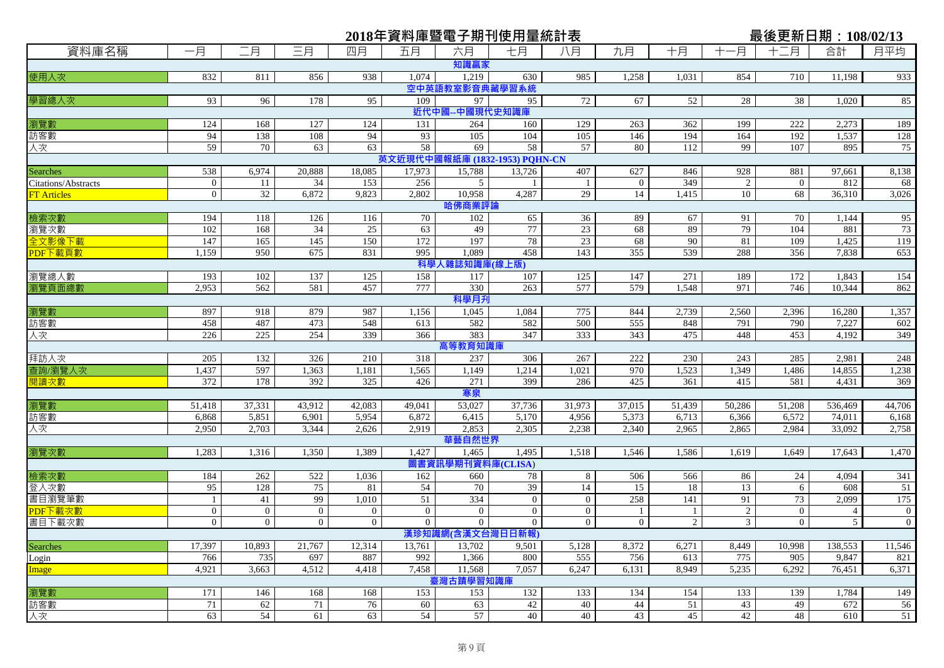|                                 |                       |                |                |                |                |                            | 2018年資料庫暨電子期刊使用量統計表            |                    |                       |            |                      | 最後更新日期: 108/02/13   |               |                  |
|---------------------------------|-----------------------|----------------|----------------|----------------|----------------|----------------------------|--------------------------------|--------------------|-----------------------|------------|----------------------|---------------------|---------------|------------------|
| 資料庫名稱                           | 一月                    | 二月             | 三月             | 四月             | 五月             | 六月                         | 七月                             | 八月                 | 九月                    | 十月         | -月                   | 十二月                 | 合計            | 月平均              |
|                                 |                       |                |                |                |                | 知識贏家                       |                                |                    |                       |            |                      |                     |               |                  |
| 使用人次                            | 832                   | 811            | 856            | 938            | 1,074          | 1,219                      | 630                            | 985                | 1,258                 | 1,031      | 854                  | 710                 | 11,198        | 933              |
|                                 |                       |                |                |                |                | 空中英語教室影音典藏學習系統             |                                |                    |                       |            |                      |                     |               |                  |
| 學習總人次                           | 93                    | 96             | 178            | 95             | 109            | 97                         | 95                             | 72                 | 67                    | 52         | 28                   | 38                  | 1,020         | 85               |
|                                 |                       |                |                |                |                | 近代中國--中國現代史知識庫             |                                |                    |                       |            |                      |                     |               |                  |
| 瀏覽數                             | 124                   | 168            | 127            | 124            | 131            | 264                        | 160                            | 129                | 263                   | 362        | 199                  | 222                 | 2,273         | 189              |
| 訪客數                             | 94                    | 138            | 108            | 94             | 93             | 105                        | 104                            | 105                | 146                   | 194        | 164                  | 192                 | 1,537         | 128              |
| 人次                              | 59                    | 70             | 63             | 63             | 58             | 69                         | 58                             | 57                 | 80                    | 112        | 99                   | 107                 | 895           | 75               |
|                                 |                       |                |                |                |                |                            | 英文近現代中國報紙庫 (1832-1953) PQHN-CN |                    |                       |            |                      |                     |               |                  |
| Searches<br>Citations/Abstracts | 538<br>$\overline{0}$ | 6,974          | 20,888         | 18,085         | 17,973<br>256  | 15,788                     | 13,726                         | 407                | 627<br>$\overline{0}$ | 846<br>349 | 928                  | 881<br>$\mathbf{0}$ | 97,661<br>812 | 8,138            |
| <b>FT</b> Articles              | $\overline{0}$        | 11<br>32       | 34<br>6,872    | 153<br>9,823   | 2,802          | 5<br>10,958                | 4,287                          | $\mathbf{1}$<br>29 | 14                    | 1,415      | $\overline{c}$<br>10 | 68                  | 36,310        | 68<br>3,026      |
|                                 |                       |                |                |                |                | 哈佛商業評論                     |                                |                    |                       |            |                      |                     |               |                  |
| 檢索次數                            | 194                   | 118            | 126            | 116            | 70             | 102                        | 65                             | 36                 | 89                    | 67         | 91                   | 70                  | 1,144         | 95               |
| 瀏覽次數                            | 102                   | 168            | 34             | 25             | 63             | 49                         | 77                             | 23                 | 68                    | 89         | 79                   | 104                 | 881           | 73               |
| 全文影像下載                          | 147                   | 165            | 145            | 150            | 172            | 197                        | 78                             | 23                 | 68                    | 90         | 81                   | 109                 | 1,425         | 119              |
| PDF下載頁數                         | 1,159                 | 950            | 675            | 831            | 995            | 1,089                      | 458                            | 143                | 355                   | 539        | 288                  | 356                 | 7,838         | 653              |
|                                 |                       |                |                |                |                | 科學人雜誌知識庫(線上版)              |                                |                    |                       |            |                      |                     |               |                  |
| 瀏覽總人數                           | 193                   | 102            | 137            | 125            | 158            | 117                        | 107                            | 125                | 147                   | 271        | 189                  | 172                 | 1,843         | 154              |
| 瀏覽頁面總數                          | 2,953                 | 562            | 581            | 457            | 777            | 330                        | 263                            | 577                | 579                   | 1,548      | 971                  | 746                 | 10,344        | 862              |
|                                 |                       |                |                |                |                | 科學月升                       |                                |                    |                       |            |                      |                     |               |                  |
| 瀏覽數                             | 897                   | 918            | 879            | 987            | 1,156          | 1,045                      | 1,084                          | 775                | 844                   | 2,739      | 2,560                | 2,396               | 16,280        | 1,357            |
| 訪客數                             | 458                   | 487            | 473            | 548            | 613            | 582                        | 582                            | 500                | 555                   | 848        | 791                  | 790                 | 7,227         | 602              |
| 人次                              | 226                   | 225            | 254            | 339            | 366            | 383                        | 347                            | 333                | 343                   | 475        | 448                  | 453                 | 4,192         | 349              |
|                                 |                       |                |                |                |                | 高等教育知識庫                    |                                |                    |                       |            |                      |                     |               |                  |
| 拜訪人次                            | 205                   | 132            | 326            | 210            | 318            | 237                        | 306                            | 267                | 222                   | 230        | 243                  | 285                 | 2,981         | 248              |
| 查詢/瀏覽人次                         | 1,437                 | 597            | 1,363          | 1,181          | 1,565          | 1,149                      | 1,214                          | 1,021              | 970                   | 1,523      | 1,349                | 1,486               | 14,855        | 1,238            |
| 閱讀次數                            | 372                   | 178            | 392            | 325            | 426            | 271                        | 399                            | 286                | 425                   | 361        | 415                  | 581                 | 4,431         | 369              |
|                                 |                       |                |                |                |                | 寒泉                         |                                |                    |                       |            |                      |                     |               |                  |
| 瀏覽數                             | 51,418                | 37,331         | 43,912         | 42,083         | 49,041         | 53,027                     | 37,736                         | 31,973             | 37,015                | 51,439     | 50,286               | 51,208              | 536,469       | 44,706           |
| 訪客數                             | 6,868                 | 5,851          | 6,901          | 5,954          | 6,872          | 6,415                      | 5,170                          | 4,956              | 5,373                 | 6,713      | 6,366                | 6,572               | 74,011        | 6,168            |
| 人次                              | 2,950                 | 2,703          | 3,344          | 2,626          | 2,919          | 2,853                      | 2,305                          | 2,238              | 2,340                 | 2,965      | 2,865                | 2,984               | 33,092        | 2,758            |
|                                 | 1,283                 | 1,316          | 1,350          | 1,389          | 1,427          | 華藝自然世界                     | 1,495                          | 1,518              | 1,546                 | 1,586      | 1,619                | 1,649               | 17,643        | 1,470            |
| 瀏覽次數                            |                       |                |                |                |                | 1,465<br>圖書資訊學期刊資料庫(CLISA) |                                |                    |                       |            |                      |                     |               |                  |
| 檢索次數                            | 184                   | 262            | 522            | 1,036          | 162            | 660                        | 78                             | 8                  | 506                   | 566        | 86                   | 24                  | 4,094         | 341              |
| 登入次數                            | 95                    | 128            | 75             | 81             | 54             | 70                         | 39                             | 14                 | 15                    | 18         | 13                   | 6                   | 608           | 51               |
| 書目瀏覽筆數                          | $\mathbf{1}$          | 41             | 99             | 1,010          | 51             | 334                        | $\overline{0}$                 | $\overline{0}$     | 258                   | 141        | 91                   | 73                  | 2,099         | 175              |
| PDF下載次數                         | $\overline{0}$        | $\overline{0}$ | $\mathbf{0}$   | $\mathbf{0}$   | $\overline{0}$ | $\overline{0}$             | $\overline{0}$                 | $\mathbf{0}$       |                       | -1         | $\mathfrak{2}$       | $\mathbf{0}$        | 4             | $\boldsymbol{0}$ |
| 書目下載次數                          | $\overline{0}$        | $\overline{0}$ | $\overline{0}$ | $\overline{0}$ | $\overline{0}$ | $\overline{0}$             | $\overline{0}$                 | $\overline{0}$     | $\overline{0}$        | 2          | 3                    | $\overline{0}$      | 5             | $\overline{0}$   |
|                                 |                       |                |                |                |                | 漢珍知識網(含漢文台灣日日新報)           |                                |                    |                       |            |                      |                     |               |                  |
| Searches                        | 17,397                | 10,893         | 21,767         | 12,314         | 13,761         | 13,702                     | 9,501                          | 5,128              | 8,372                 | 6,271      | 8,449                | 10,998              | 138,553       | 11,546           |
| Login                           | 766                   | 735            | 697            | 887            | 992            | 1,366                      | 800                            | 555                | 756                   | 613        | 775                  | 905                 | 9,847         | 821              |
| <b>Image</b>                    | 4,921                 | 3,663          | 4,512          | 4,418          | 7,458          | 11,568                     | 7,057                          | 6,247              | 6,131                 | 8,949      | 5,235                | 6,292               | 76,451        | 6,371            |
|                                 |                       |                |                |                |                | 臺灣古蹟學習知識庫                  |                                |                    |                       |            |                      |                     |               |                  |
| <mark>瀏覽數</mark><br>訪客數         | 171                   | 146            | 168            | 168            | 153            | 153                        | 132                            | 133                | 134                   | 154        | 133                  | 139                 | 1,784         | 149              |
|                                 | 71                    | 62             | 71             | 76             | 60             | 63                         | 42                             | 40                 | 44                    | 51         | 43                   | 49                  | 672           | 56               |
|                                 | 63                    | 54             | 61             | 63             | 54             | 57                         | 40                             | 40                 | 43                    | 45         | 42                   | 48                  | 610           | 51               |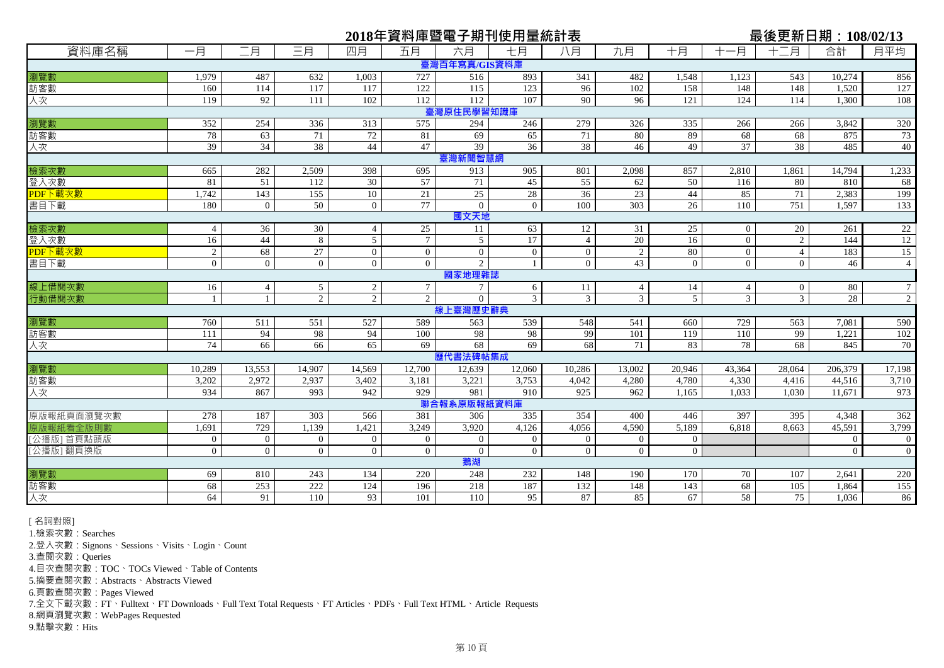|                 |                |                |                 |                 |                 |                             | 2018年資料庫暨電子期刊使用量統計表 |                 |                |                |                 | 最後更新日期:108/02/13    |                |                 |
|-----------------|----------------|----------------|-----------------|-----------------|-----------------|-----------------------------|---------------------|-----------------|----------------|----------------|-----------------|---------------------|----------------|-----------------|
| 資料庫名稱           | 一月             | 二月             | 三月              | 四月              | 五月              | 六月                          | 七月                  | 八月              | 九月             | 十月             | -月<br>$+$       | 十二月                 | 合計             | 月平均             |
|                 |                |                |                 |                 |                 | 臺灣百年寫真/GIS資料庫               |                     |                 |                |                |                 |                     |                |                 |
| 瀏覽數             | 1,979          | 487            | 632             | 1.003           | 727             | 516                         | 893                 | 341             | 482            | 1,548          | 1,123           | 543                 | 10,274         | 856             |
| 訪客數             | 160            | 114            | 117             | 117             | 122             | 115                         | 123                 | 96              | 102            | 158            | 148             | 148                 | 1,520          | 127             |
| 人次              | 119            | 92             | 111             | 102             | 112             | 112                         | 107                 | $\overline{90}$ | 96             | 121            | 124             | 114                 | 1.300          | 108             |
|                 |                |                |                 |                 |                 | 臺灣原住民學習知識庫                  |                     |                 |                |                |                 |                     |                |                 |
| 瀏覽數             | 352            | 254            | 336             | 313             | 575             | 294                         | 246                 | 279             | 326            | 335            | 266             | 266                 | 3,842          | 320             |
| 訪客數             | 78             | 63             | 71              | $\overline{72}$ | 81              | 69                          | 65                  | 71              | 80             | 89             | 68              | 68                  | 875            | 73              |
| 人次              | 39             | 34             | 38              | 44              | 47              | 39                          | 36                  | 38              | 46             | 49             | $\overline{37}$ | $\overline{38}$     | 485            | 40              |
|                 |                |                |                 |                 |                 | 臺灣新聞智慧網                     |                     |                 |                |                |                 |                     |                |                 |
| 檢索次數            | 665            | 282            | 2,509           | 398             | 695             | 913                         | 905                 | 801             | 2.098          | 857            | 2,810           | 1,861               | 14,794         | 1,233           |
| 登入次數            | 81             | 51             | 112             | 30              | 57              | 71                          | 45                  | 55              | 62             | 50             | 116             | 80                  | 810            | 68              |
| PDF下載次數         | 1,742          | 143            | 155             | 10              | 21              | 25                          | 28                  | $\overline{36}$ | 23             | 44             | 85              | 71                  | 2,383          | 199             |
| 書目下載            | 180            | $\overline{0}$ | 50              | $\overline{0}$  | 77              | $\Omega$<br>國文天地            | $\overline{0}$      | 100             | 303            | 26             | 110             | 751                 | 1,597          | 133             |
|                 | $\overline{4}$ | 36             | 30              | $\overline{4}$  | 25              | 11                          | 63                  | 12              | 31             | 25             | $\overline{0}$  | 20                  | 261            | $\overline{22}$ |
| 檢索次數            | 16             | 44             | 8               | $\overline{5}$  | $7\phantom{.0}$ |                             | 17                  | $\overline{4}$  | 20             | 16             | $\Omega$        |                     | 144            |                 |
| 登入次數<br>PDF下載次數 | $\overline{2}$ | 68             | 27              | $\overline{0}$  | $\overline{0}$  | $5\overline{)}$<br>$\theta$ | $\theta$            | $\overline{0}$  | $\overline{2}$ | 80             | $\theta$        | 2<br>$\overline{4}$ | 183            | 12<br>15        |
| 書目下載            | $\overline{0}$ | $\overline{0}$ | $\overline{0}$  | $\overline{0}$  | $\Omega$        | $\overline{2}$              | $\mathbf{1}$        | $\Omega$        | 43             | $\overline{0}$ | $\Omega$        | $\theta$            | 46             | $\overline{4}$  |
|                 |                |                |                 |                 |                 | 國家地理雜誌                      |                     |                 |                |                |                 |                     |                |                 |
| 線上借閱次數          | 16             | $\overline{4}$ | $5\overline{)}$ | 2               | $7\overline{ }$ | $7\overline{ }$             | 6                   | 11              | $\overline{4}$ | 14             | $\overline{4}$  | $\overline{0}$      | 80             | $\tau$          |
| 行動借閱次數          | $\mathbf{1}$   | $\mathbf{1}$   | $\overline{2}$  | $\overline{2}$  | 2               | $\overline{0}$              | $\overline{3}$      | $\mathfrak{Z}$  | $\overline{3}$ | 5 <sup>5</sup> | $\overline{3}$  | $\overline{3}$      | 28             | $\overline{2}$  |
|                 |                |                |                 |                 |                 | 線上臺灣歷史辭典                    |                     |                 |                |                |                 |                     |                |                 |
| 瀏覽數             | 760            | 511            | 551             | 527             | 589             | 563                         | 539                 | 548             | 541            | 660            | 729             | 563                 | 7,081          | 590             |
| 訪客數             | 111            | 94             | 98              | 94              | 100             | 98                          | 98                  | 99              | 101            | 119            | 110             | 99                  | 1,221          | 102             |
| 人次              | 74             | 66             | 66              | 65              | 69              | 68                          | 69                  | 68              | 71             | 83             | 78              | 68                  | 845            | 70              |
|                 |                |                |                 |                 |                 | 歷代書法碑帖集成                    |                     |                 |                |                |                 |                     |                |                 |
| 瀏覽數             | 10,289         | 13,553         | 14,907          | 14,569          | 12,700          | 12,639                      | 12,060              | 10,286          | 13,002         | 20,946         | 43,364          | 28,064              | 206,379        | 17,198          |
| 訪客數             | 3,202          | 2,972          | 2,937           | 3,402           | 3,181           | 3,221                       | 3,753               | 4,042           | 4,280          | 4,780          | 4,330           | 4,416               | 44,516         | 3,710           |
| 人次              | 934            | 867            | 993             | 942             | 929             | 981                         | 910                 | 925             | 962            | 1,165          | 1.033           | 1.030               | 11.671         | 973             |
|                 |                |                |                 |                 |                 | 聯合報系原版報紙資料庫                 |                     |                 |                |                |                 |                     |                |                 |
| 原版報紙頁面瀏覽次數      | 278            | 187            | 303             | 566             | 381             | 306                         | 335                 | 354             | 400            | 446            | 397             | 395                 | 4.348          | 362             |
| 紙看全版則           | 1,691          | 729            | 1,139           | 1,421           | 3,249           | 3,920                       | 4,126               | 4,056           | 4,590          | 5,189          | 6,818           | 8,663               | 45,591         | 3,799           |
| [公播版] 首頁點頭版     | $\overline{0}$ | $\overline{0}$ | $\overline{0}$  | $\overline{0}$  | $\overline{0}$  | $\overline{0}$              | $\Omega$            | $\overline{0}$  | $\Omega$       | $\overline{0}$ |                 |                     | $\overline{0}$ | $\overline{0}$  |
| [公播版] 翻頁換版      | $\overline{0}$ | $\overline{0}$ | $\overline{0}$  | $\overline{0}$  | $\overline{0}$  | $\mathbf{0}$<br>鵝湖          | $\overline{0}$      | $\overline{0}$  | $\overline{0}$ | $\overline{0}$ |                 |                     | $\overline{0}$ | $\overline{0}$  |
|                 | 69             | 810            |                 | 134             | 220             |                             |                     | 148             | 190            |                |                 | 107                 |                |                 |
| 瀏覽數<br>訪客數      | 68             | 253            | 243<br>222      | 124             | 196             | 248<br>218                  | 232<br>187          | 132             | 148            | 170<br>143     | 70<br>68        | 105                 | 2,641<br>1,864 | 220<br>155      |
| 人次              | 64             | 91             | 110             | 93              | 101             | 110                         | 95                  | 87              | 85             | 67             | 58              | 75                  | 1.036          | 86              |
|                 |                |                |                 |                 |                 |                             |                     |                 |                |                |                 |                     |                |                 |

[ 名詞對照]

1.檢索次數:Searches

2.登入次數:Signons、Sessions、Visits、Login、Count

3.查閱次數:Queries

4.目次查閱次數:TOC、TOCs Viewed、Table of Contents

5.摘要查閱次數:Abstracts、Abstracts Viewed

6.頁數查閱次數:Pages Viewed

7.全文下載次數:FT、Fulltext、FT Downloads、Full Text Total Requests、FT Articles、PDFs、Full Text HTML、Article Requests

8.網頁瀏覽次數:WebPages Requested

9.點擊次數:Hits